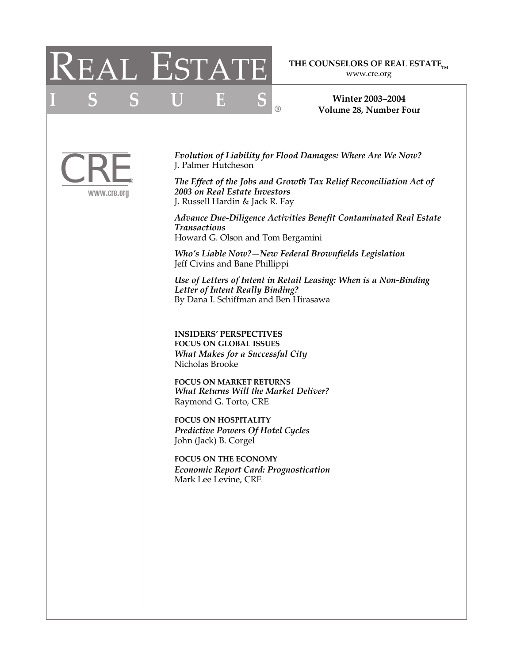# REAL ESTATE

**ISSUES**

### THE COUNSELORS OF REAL ESTATE<sub>TM</sub>

www.cre.org

**Winter 2003–2004 Volume 28, Number Four**



*Evolution of Liability for Flood Damages: Where Are We Now?* J. Palmer Hutcheson

**®**

*The Effect of the Jobs and Growth Tax Relief Reconciliation Act of 2003 on Real Estate Investors* J. Russell Hardin & Jack R. Fay

*Advance Due-Diligence Activities Benefit Contaminated Real Estate Transactions* Howard G. Olson and Tom Bergamini

*Who's Liable Now?—New Federal Brownfields Legislation* Jeff Civins and Bane Phillippi

*Use of Letters of Intent in Retail Leasing: When is a Non-Binding Letter of Intent Really Binding?* By Dana I. Schiffman and Ben Hirasawa

**INSIDERS' PERSPECTIVES FOCUS ON GLOBAL ISSUES** *What Makes for a Successful City* Nicholas Brooke

**FOCUS ON MARKET RETURNS**  *What Returns Will the Market Deliver?* Raymond G. Torto, CRE

**FOCUS ON HOSPITALITY** *Predictive Powers Of Hotel Cycles*  John (Jack) B. Corgel

**FOCUS ON THE ECONOMY** *Economic Report Card: Prognostication* Mark Lee Levine, CRE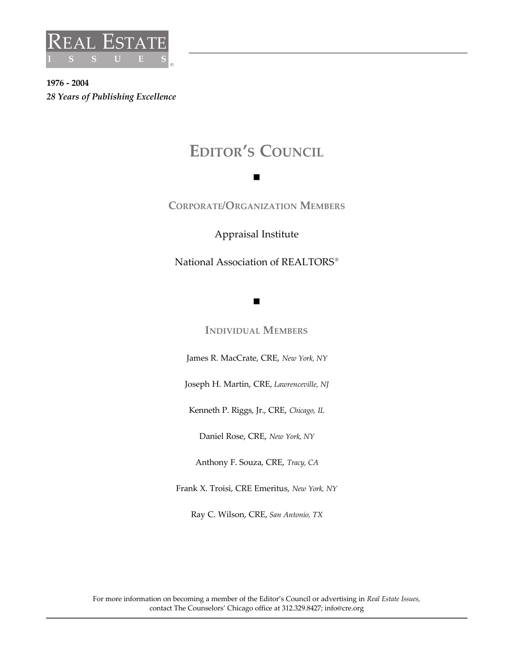

**1976 - 2004** *28 Years of Publishing Excellence*

## **EDITOR'S COUNCIL**

n

### **CORPORATE/ORGANIZATION MEMBERS**

Appraisal Institute

National Association of REALTORS<sup>®</sup>

n

**INDIVIDUAL MEMBERS**

James R. MacCrate, CRE, *New York, NY*

Joseph H. Martin, CRE, *Lawrenceville, NJ*

Kenneth P. Riggs, Jr., CRE, *Chicago, IL*

Daniel Rose, CRE, *New York, NY*

Anthony F. Souza, CRE, *Tracy, CA*

Frank X. Troisi, CRE Emeritus, *New York, NY*

Ray C. Wilson, CRE, *San Antonio, TX*

For more information on becoming a member of the Editor's Council or advertising in *Real Estate Issues,*  contact The Counselors' Chicago office at 312.329.8427; info@cre.org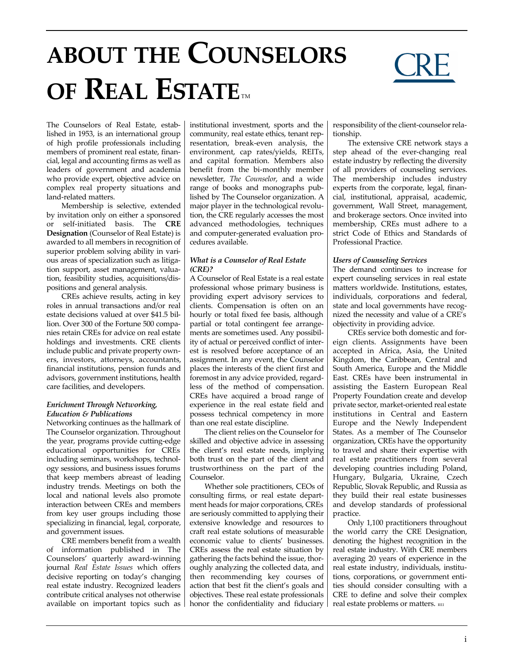# **ABOUT THE COUNSELORS OF REAL ESTATE**



The Counselors of Real Estate, established in 1953, is an international group of high profile professionals including members of prominent real estate, financial, legal and accounting firms as well as leaders of government and academia who provide expert, objective advice on complex real property situations and land-related matters.

Membership is selective, extended by invitation only on either a sponsored or self-initiated basis. The **CRE Designation** (Counselor of Real Estate) is awarded to all members in recognition of superior problem solving ability in various areas of specialization such as litigation support, asset management, valuation, feasibility studies, acquisitions/dispositions and general analysis.

CREs achieve results, acting in key roles in annual transactions and/or real estate decisions valued at over \$41.5 billion. Over 300 of the Fortune 500 companies retain CREs for advice on real estate holdings and investments. CRE clients include public and private property owners, investors, attorneys, accountants, financial institutions, pension funds and advisors, government institutions, health care facilities, and developers.

#### *Enrichment Through Networking, Education & Publications*

Networking continues as the hallmark of The Counselor organization. Throughout the year, programs provide cutting-edge educational opportunities for CREs including seminars, workshops, technology sessions, and business issues forums that keep members abreast of leading industry trends. Meetings on both the local and national levels also promote interaction between CREs and members from key user groups including those specializing in financial, legal, corporate, and government issues.

CRE members benefit from a wealth of information published in The Counselors' quarterly award-winning journal *Real Estate Issues* which offers decisive reporting on today's changing real estate industry. Recognized leaders contribute critical analyses not otherwise available on important topics such as

institutional investment, sports and the community, real estate ethics, tenant representation, break-even analysis, the environment, cap rates/yields, REITs, and capital formation. Members also benefit from the bi-monthly member newsletter, *The Counselor*, and a wide range of books and monographs published by The Counselor organization. A major player in the technological revolution, the CRE regularly accesses the most advanced methodologies, techniques and computer-generated evaluation procedures available.

#### *What is a Counselor of Real Estate (CRE)?*

A Counselor of Real Estate is a real estate professional whose primary business is providing expert advisory services to clients. Compensation is often on an hourly or total fixed fee basis, although partial or total contingent fee arrangements are sometimes used. Any possibility of actual or perceived conflict of interest is resolved before acceptance of an assignment. In any event, the Counselor places the interests of the client first and foremost in any advice provided, regardless of the method of compensation. CREs have acquired a broad range of experience in the real estate field and possess technical competency in more than one real estate discipline.

The client relies on the Counselor for skilled and objective advice in assessing the client's real estate needs, implying both trust on the part of the client and trustworthiness on the part of the Counselor.

Whether sole practitioners, CEOs of consulting firms, or real estate department heads for major corporations, CREs are seriously committed to applying their extensive knowledge and resources to craft real estate solutions of measurable economic value to clients' businesses. CREs assess the real estate situation by gathering the facts behind the issue, thoroughly analyzing the collected data, and then recommending key courses of action that best fit the client's goals and objectives. These real estate professionals honor the confidentiality and fiduciary responsibility of the client-counselor relationship.

The extensive CRE network stays a step ahead of the ever-changing real estate industry by reflecting the diversity of all providers of counseling services. The membership includes industry experts from the corporate, legal, financial, institutional, appraisal, academic, government, Wall Street, management, and brokerage sectors. Once invited into membership, CREs must adhere to a strict Code of Ethics and Standards of Professional Practice.

#### *Users of Counseling Services*

The demand continues to increase for expert counseling services in real estate matters worldwide. Institutions, estates, individuals, corporations and federal, state and local governments have recognized the necessity and value of a CRE's objectivity in providing advice.

CREs service both domestic and foreign clients. Assignments have been accepted in Africa, Asia, the United Kingdom, the Caribbean, Central and South America, Europe and the Middle East. CREs have been instrumental in assisting the Eastern European Real Property Foundation create and develop private sector, market-oriented real estate institutions in Central and Eastern Europe and the Newly Independent States. As a member of The Counselor organization, CREs have the opportunity to travel and share their expertise with real estate practitioners from several developing countries including Poland, Hungary, Bulgaria, Ukraine, Czech Republic, Slovak Republic, and Russia as they build their real estate businesses and develop standards of professional practice.

Only 1,100 practitioners throughout the world carry the CRE Designation, denoting the highest recognition in the real estate industry. With CRE members averaging 20 years of experience in the real estate industry, individuals, institutions, corporations, or government entities should consider consulting with a CRE to define and solve their complex real estate problems or matters. REI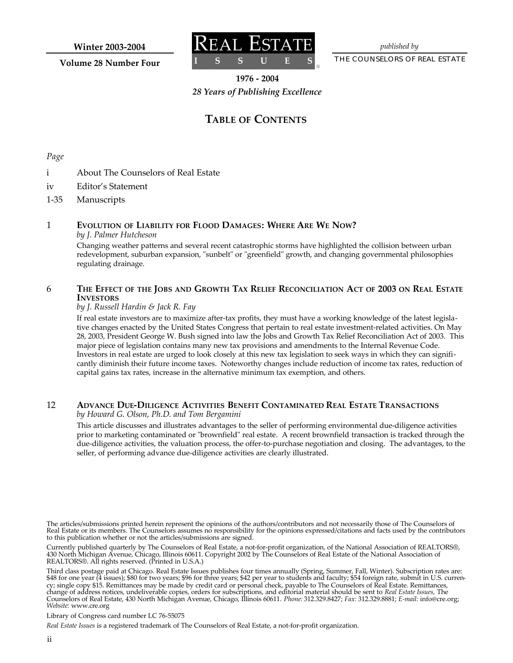**Winter 2003-2004**

**Volume 28 Number Four**



*published by*

THE COUNSELORS OF REAL ESTATE

**1976 - 2004**

**®**

*28 Years of Publishing Excellence*

### **TABLE OF CONTENTS**

*Page*

- i About The Counselors of Real Estate
- iv Editor's Statement
- 1-35 Manuscripts

#### 1 **EVOLUTION OF LIABILITY FOR FLOOD DAMAGES: WHERE ARE WE NOW?** *by J. Palmer Hutcheson*

Changing weather patterns and several recent catastrophic storms have highlighted the collision between urban redevelopment, suburban expansion, "sunbelt" or "greenfield" growth, and changing governmental philosophies regulating drainage.

#### 6 THE EFFECT OF THE JOBS AND GROWTH TAX RELIEF RECONCILIATION ACT OF 2003 ON REAL ESTATE **INVESTORS**

#### *by J. Russell Hardin & Jack R. Fay*

If real estate investors are to maximize after-tax profits, they must have a working knowledge of the latest legislative changes enacted by the United States Congress that pertain to real estate investment-related activities. On May 28, 2003, President George W. Bush signed into law the Jobs and Growth Tax Relief Reconciliation Act of 2003. This major piece of legislation contains many new tax provisions and amendments to the Internal Revenue Code. Investors in real estate are urged to look closely at this new tax legislation to seek ways in which they can significantly diminish their future income taxes. Noteworthy changes include reduction of income tax rates, reduction of capital gains tax rates, increase in the alternative minimum tax exemption, and others.

#### 12 **ADVANCE DUE-DILIGENCE ACTIVITIES BENEFIT CONTAMINATED REAL ESTATE TRANSACTIONS** *by Howard G. Olson, Ph.D. and Tom Bergamini*

This article discusses and illustrates advantages to the seller of performing environmental due-diligence activities prior to marketing contaminated or "brownfield" real estate. A recent brownfield transaction is tracked through the due-diligence activities, the valuation process, the offer-to-purchase negotiation and closing. The advantages, to the seller, of performing advance due-diligence activities are clearly illustrated.

The articles/submissions printed herein represent the opinions of the authors/contributors and not necessarily those of The Counselors of Real Estate or its members. The Counselors assumes no responsibility for the opinions expressed/citations and facts used by the contributors to this publication whether or not the articles/submissions are signed.

Currently published quarterly by The Counselors of Real Estate, a not-for-profit organization, of the National Association of REALTORS®, 430 North Michigan Avenue, Chicago, Illinois 60611. Copyright 2002 by The Counselors of Real Estate of the National Association of REALTORS®. All rights reserved. (Printed in U.S.A.)

Third class postage paid at Chicago. Real Estate Issues publishes four times annually (Spring, Summer, Fall, Winter). Subscription rates are: \$48 for one year (4 issues); \$80 for two years; \$96 for three years; \$42 per year to students and faculty; \$54 foreign rate, submit in U.S. currency; single copy \$15. Remittances may be made by credit card or personal check, payable to The Counselors of Real Estate. Remittances, change of address notices, undeliverable copies, orders for subscriptions, and editorial material should be sent to *Real Estate Issues,* The Counselors of Real Estate, 430 North Michigan Avenue, Chicago, Illinois 60611. *Phone:* 312.329.8427; *Fax:* 312.329.8881; *E-mail:* info@cre.org; *Website:* www.cre.org

Library of Congress card number LC 76-55075

*Real Estate Issues* is a registered trademark of The Counselors of Real Estate, a not-for-profit organization.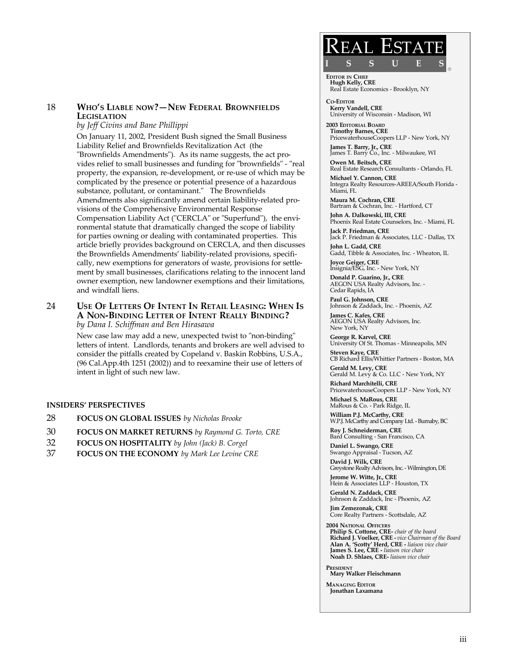#### 18 **WHO'S LIABLE NOW?—NEW FEDERAL BROWNFIELDS LEGISLATION**

*by Jeff Civins and Bane Phillippi*

On January 11, 2002, President Bush signed the Small Business Liability Relief and Brownfields Revitalization Act (the "Brownfields Amendments"). As its name suggests, the act provides relief to small businesses and funding for "brownfields" - "real property, the expansion, re-development, or re-use of which may be complicated by the presence or potential presence of a hazardous substance, pollutant, or contaminant." The Brownfields Amendments also significantly amend certain liability-related provisions of the Comprehensive Environmental Response Compensation Liability Act ("CERCLA" or "Superfund"), the environmental statute that dramatically changed the scope of liability for parties owning or dealing with contaminated properties. This article briefly provides background on CERCLA, and then discusses the Brownfields Amendments' liability-related provisions, specifically, new exemptions for generators of waste, provisions for settlement by small businesses, clarifications relating to the innocent land owner exemption, new landowner exemptions and their limitations, and windfall liens.

#### 24 **USE OF LETTERS OF INTENT IN RETAIL LEASING: WHEN IS A NON-BINDING LETTER OF INTENT REALLY BINDING?** *by Dana I. Schiffman and Ben Hirasawa*

New case law may add a new, unexpected twist to "non-binding" letters of intent. Landlords, tenants and brokers are well advised to consider the pitfalls created by Copeland v. Baskin Robbins, U.S.A., (96 Cal.App.4th 1251 (2002)) and to reexamine their use of letters of intent in light of such new law.

#### **INSIDERS' PERSPECTIVES**

- 28 **FOCUS ON GLOBAL ISSUES** *by Nicholas Brooke*
- 30 **FOCUS ON MARKET RETURNS** *by Raymond G. Torto, CRE*
- 32 **FOCUS ON HOSPITALITY** *by John (Jack) B. Corgel*
- 37 **FOCUS ON THE ECONOMY** *by Mark Lee Levine CRE*

## $\sf REAL~EST$ **ISSUES**

**®**

**EDITOR IN CHIEF Hugh Kelly, CRE** Real Estate Economics - Brooklyn, NY

**CO-EDITOR Kerry Vandell, CRE** University of Wisconsin - Madison, WI

**2003 EDITORIAL BOARD Timothy Barnes, CRE** PricewaterhouseCoopers LLP - New York, NY

**James T. Barry, Jr., CRE** James T. Barry Co., Inc. - Milwaukee, WI

**Owen M. Beitsch, CRE** Real Estate Research Consultants - Orlando, FL

**Michael Y. Cannon, CRE** Integra Realty Resources-AREEA/South Florida - Miami, FL

**Maura M. Cochran, CRE** Bartram & Cochran, Inc. - Hartford, CT **John A. Dalkowski, III, CRE**

Phoenix Real Estate Counselors, Inc. - Miami, FL **Jack P. Friedman, CRE**

Jack P. Friedman & Associates, LLC - Dallas, TX **John L. Gadd, CRE**

Gadd, Tibble & Associates, Inc. - Wheaton, IL

**Joyce Geiger, CRE** Insignia/ESG, Inc. - New York, NY **Donald P. Guarino, Jr., CRE** AEGON USA Realty Advisors, Inc. - Cedar Rapids, IA

**Paul G. Johnson, CRE** Johnson & Zaddack, Inc. - Phoenix, AZ

**James C. Kafes, CRE** AEGON USA Realty Advisors, Inc. New York, NY

**George R. Karvel, CRE** University Of St. Thomas - Minneapolis, MN

**Steven Kaye, CRE** CB Richard Ellis/Whittier Partners - Boston, MA **Gerald M. Levy, CRE**

Gerald M. Levy & Co. LLC - New York, NY

**Richard Marchitelli, CRE** PricewaterhouseCoopers LLP - New York, NY

**Michael S. MaRous, CRE** MaRous & Co. - Park Ridge, IL

**William P.J. McCarthy, CRE** W.P.J. McCarthy and Company Ltd. - Burnaby, BC

**Roy J. Schneiderman, CRE** Bard Consulting - San Francisco, CA

**Daniel L. Swango, CRE** Swango Appraisal - Tucson, AZ **David J. Wilk, CRE**

Greystone Realty Advisors, Inc. - Wilmington, DE

**Jerome W. Witte, Jr., CRE** Hein & Associates LLP - Houston, TX **Gerald N. Zaddack, CRE**

Johnson & Zaddack, Inc - Phoenix, AZ **Jim Zemezonak, CRE**

Core Realty Partners - Scottsdale, AZ

**2004 NATIONAL OFFICERS Philip S. Cottone, CRE-** *chair of the board* **Richard J. Voelker, CRE -** *vice Chairman of the Board*  **Alan A. 'Scotty' Herd, CRE -** *liaison vice chair*  **James S. Lee, CRE -** *liaison vice chair*  **Noah D. Shlaes, CRE-** *liaison vice chair* 

**PRESIDENT Mary Walker Fleischmann**

**MANAGING EDITOR Jonathan Laxamana**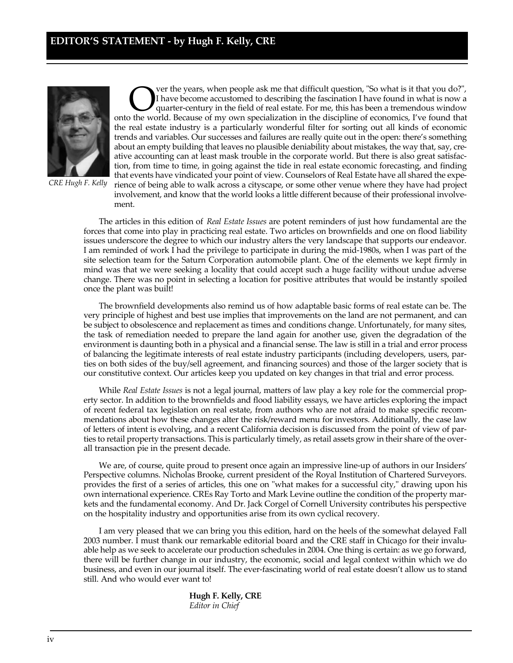

*CRE Hugh F. Kelly* 

**ON** I have become accustomed to describing the fascination I have found in what is now a quarter-century in the field of real estate. For me, this has been a tremendous window onto the world. Because of my own specializat ver the years, when people ask me that difficult question, "So what is it that you do?", I have become accustomed to describing the fascination I have found in what is now a quarter-century in the field of real estate. For me, this has been a tremendous window the real estate industry is a particularly wonderful filter for sorting out all kinds of economic trends and variables. Our successes and failures are really quite out in the open: there's something about an empty building that leaves no plausible deniability about mistakes, the way that, say, creative accounting can at least mask trouble in the corporate world. But there is also great satisfaction, from time to time, in going against the tide in real estate economic forecasting, and finding that events have vindicated your point of view. Counselors of Real Estate have all shared the experience of being able to walk across a cityscape, or some other venue where they have had project involvement, and know that the world looks a little different because of their professional involvement.

The articles in this edition of *Real Estate Issues* are potent reminders of just how fundamental are the forces that come into play in practicing real estate. Two articles on brownfields and one on flood liability issues underscore the degree to which our industry alters the very landscape that supports our endeavor. I am reminded of work I had the privilege to participate in during the mid-1980s, when I was part of the site selection team for the Saturn Corporation automobile plant. One of the elements we kept firmly in mind was that we were seeking a locality that could accept such a huge facility without undue adverse change. There was no point in selecting a location for positive attributes that would be instantly spoiled once the plant was built!

The brownfield developments also remind us of how adaptable basic forms of real estate can be. The very principle of highest and best use implies that improvements on the land are not permanent, and can be subject to obsolescence and replacement as times and conditions change. Unfortunately, for many sites, the task of remediation needed to prepare the land again for another use, given the degradation of the environment is daunting both in a physical and a financial sense. The law is still in a trial and error process of balancing the legitimate interests of real estate industry participants (including developers, users, parties on both sides of the buy/sell agreement, and financing sources) and those of the larger society that is our constitutive context. Our articles keep you updated on key changes in that trial and error process.

While *Real Estate Issues* is not a legal journal, matters of law play a key role for the commercial property sector. In addition to the brownfields and flood liability essays, we have articles exploring the impact of recent federal tax legislation on real estate, from authors who are not afraid to make specific recommendations about how these changes alter the risk/reward menu for investors. Additionally, the case law of letters of intent is evolving, and a recent California decision is discussed from the point of view of parties to retail property transactions. This is particularly timely, as retail assets grow in their share of the overall transaction pie in the present decade.

We are, of course, quite proud to present once again an impressive line-up of authors in our Insiders' Perspective columns. Nicholas Brooke, current president of the Royal Institution of Chartered Surveyors. provides the first of a series of articles, this one on "what makes for a successful city," drawing upon his own international experience. CREs Ray Torto and Mark Levine outline the condition of the property markets and the fundamental economy. And Dr. Jack Corgel of Cornell University contributes his perspective on the hospitality industry and opportunities arise from its own cyclical recovery.

I am very pleased that we can bring you this edition, hard on the heels of the somewhat delayed Fall 2003 number. I must thank our remarkable editorial board and the CRE staff in Chicago for their invaluable help as we seek to accelerate our production schedules in 2004. One thing is certain: as we go forward, there will be further change in our industry, the economic, social and legal context within which we do business, and even in our journal itself. The ever-fascinating world of real estate doesn't allow us to stand still. And who would ever want to!

> **Hugh F. Kelly, CRE** *Editor in Chief*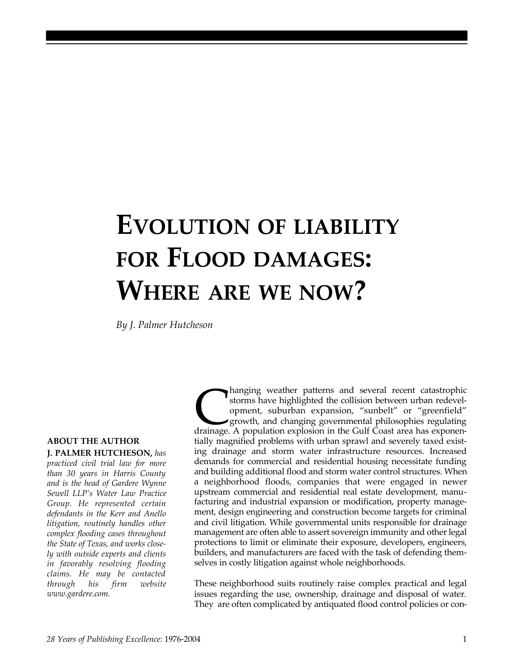# **EVOLUTION OF LIABILITY FOR FLOOD DAMAGES: WHERE ARE WE NOW?**

*By J. Palmer Hutcheson*

#### **ABOUT THE AUTHOR**

**J. PALMER HUTCHESON,** *has practiced civil trial law for more than 30 years in Harris County and is the head of Gardere Wynne Sewell LLP's Water Law Practice Group. He represented certain defendants in the Kerr and Anello litigation, routinely handles other complex flooding cases throughout the State of Texas, and works closely with outside experts and clients in favorably resolving flooding claims. He may be contacted through his firm website www.gardere.com.*

hanging weather patterns and several recent catastrophic storms have highlighted the collision between urban redevel-<br>opment, suburban expansion, "sunbelt" or "greenfield"<br>growth, and changing governmental philosophies reg hanging weather patterns and several recent catastrophic storms have highlighted the collision between urban redevelopment, suburban expansion, "sunbelt" or "greenfield" growth, and changing governmental philosophies regulating tially magnified problems with urban sprawl and severely taxed existing drainage and storm water infrastructure resources. Increased demands for commercial and residential housing necessitate funding and building additional flood and storm water control structures. When a neighborhood floods, companies that were engaged in newer upstream commercial and residential real estate development, manufacturing and industrial expansion or modification, property management, design engineering and construction become targets for criminal and civil litigation. While governmental units responsible for drainage management are often able to assert sovereign immunity and other legal protections to limit or eliminate their exposure, developers, engineers, builders, and manufacturers are faced with the task of defending themselves in costly litigation against whole neighborhoods.

These neighborhood suits routinely raise complex practical and legal issues regarding the use, ownership, drainage and disposal of water. They are often complicated by antiquated flood control policies or con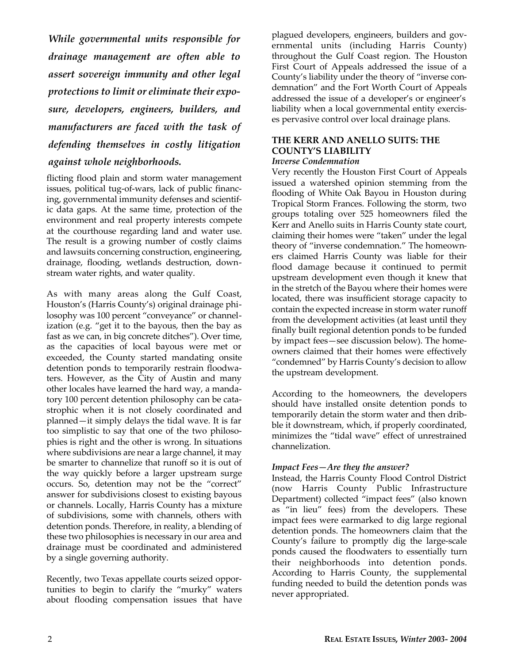*While governmental units responsible for drainage management are often able to assert sovereign immunity and other legal protections to limit or eliminate their exposure, developers, engineers, builders, and manufacturers are faced with the task of defending themselves in costly litigation against whole neighborhoods.*

flicting flood plain and storm water management issues, political tug-of-wars, lack of public financing, governmental immunity defenses and scientific data gaps. At the same time, protection of the environment and real property interests compete at the courthouse regarding land and water use. The result is a growing number of costly claims and lawsuits concerning construction, engineering, drainage, flooding, wetlands destruction, downstream water rights, and water quality.

As with many areas along the Gulf Coast, Houston's (Harris County's) original drainage philosophy was 100 percent "conveyance" or channelization (e.g. "get it to the bayous, then the bay as fast as we can, in big concrete ditches"). Over time, as the capacities of local bayous were met or exceeded, the County started mandating onsite detention ponds to temporarily restrain floodwaters. However, as the City of Austin and many other locales have learned the hard way, a mandatory 100 percent detention philosophy can be catastrophic when it is not closely coordinated and planned—it simply delays the tidal wave. It is far too simplistic to say that one of the two philosophies is right and the other is wrong. In situations where subdivisions are near a large channel, it may be smarter to channelize that runoff so it is out of the way quickly before a larger upstream surge occurs. So, detention may not be the "correct" answer for subdivisions closest to existing bayous or channels. Locally, Harris County has a mixture of subdivisions, some with channels, others with detention ponds. Therefore, in reality, a blending of these two philosophies is necessary in our area and drainage must be coordinated and administered by a single governing authority.

Recently, two Texas appellate courts seized opportunities to begin to clarify the "murky" waters about flooding compensation issues that have

plagued developers, engineers, builders and governmental units (including Harris County) throughout the Gulf Coast region. The Houston First Court of Appeals addressed the issue of a County's liability under the theory of "inverse condemnation" and the Fort Worth Court of Appeals addressed the issue of a developer's or engineer's liability when a local governmental entity exercises pervasive control over local drainage plans.

### **THE KERR AND ANELLO SUITS: THE COUNTY'S LIABILITY**

#### *Inverse Condemnation*

Very recently the Houston First Court of Appeals issued a watershed opinion stemming from the flooding of White Oak Bayou in Houston during Tropical Storm Frances. Following the storm, two groups totaling over 525 homeowners filed the Kerr and Anello suits in Harris County state court, claiming their homes were "taken" under the legal theory of "inverse condemnation." The homeowners claimed Harris County was liable for their flood damage because it continued to permit upstream development even though it knew that in the stretch of the Bayou where their homes were located, there was insufficient storage capacity to contain the expected increase in storm water runoff from the development activities (at least until they finally built regional detention ponds to be funded by impact fees—see discussion below). The homeowners claimed that their homes were effectively "condemned" by Harris County's decision to allow the upstream development.

According to the homeowners, the developers should have installed onsite detention ponds to temporarily detain the storm water and then dribble it downstream, which, if properly coordinated, minimizes the "tidal wave" effect of unrestrained channelization.

#### *Impact Fees—Are they the answer?*

Instead, the Harris County Flood Control District (now Harris County Public Infrastructure Department) collected "impact fees" (also known as "in lieu" fees) from the developers. These impact fees were earmarked to dig large regional detention ponds. The homeowners claim that the County's failure to promptly dig the large-scale ponds caused the floodwaters to essentially turn their neighborhoods into detention ponds. According to Harris County, the supplemental funding needed to build the detention ponds was never appropriated.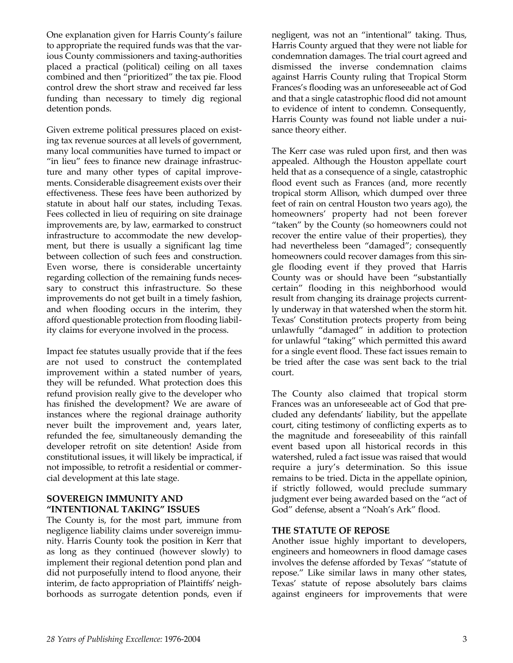One explanation given for Harris County's failure to appropriate the required funds was that the various County commissioners and taxing-authorities placed a practical (political) ceiling on all taxes combined and then "prioritized" the tax pie. Flood control drew the short straw and received far less funding than necessary to timely dig regional detention ponds.

Given extreme political pressures placed on existing tax revenue sources at all levels of government, many local communities have turned to impact or "in lieu" fees to finance new drainage infrastructure and many other types of capital improvements. Considerable disagreement exists over their effectiveness. These fees have been authorized by statute in about half our states, including Texas. Fees collected in lieu of requiring on site drainage improvements are, by law, earmarked to construct infrastructure to accommodate the new development, but there is usually a significant lag time between collection of such fees and construction. Even worse, there is considerable uncertainty regarding collection of the remaining funds necessary to construct this infrastructure. So these improvements do not get built in a timely fashion, and when flooding occurs in the interim, they afford questionable protection from flooding liability claims for everyone involved in the process.

Impact fee statutes usually provide that if the fees are not used to construct the contemplated improvement within a stated number of years, they will be refunded. What protection does this refund provision really give to the developer who has finished the development? We are aware of instances where the regional drainage authority never built the improvement and, years later, refunded the fee, simultaneously demanding the developer retrofit on site detention! Aside from constitutional issues, it will likely be impractical, if not impossible, to retrofit a residential or commercial development at this late stage.

#### **SOVEREIGN IMMUNITY AND "INTENTIONAL TAKING" ISSUES**

The County is, for the most part, immune from negligence liability claims under sovereign immunity. Harris County took the position in Kerr that as long as they continued (however slowly) to implement their regional detention pond plan and did not purposefully intend to flood anyone, their interim, de facto appropriation of Plaintiffs' neighborhoods as surrogate detention ponds, even if negligent, was not an "intentional" taking. Thus, Harris County argued that they were not liable for condemnation damages. The trial court agreed and dismissed the inverse condemnation claims against Harris County ruling that Tropical Storm Frances's flooding was an unforeseeable act of God and that a single catastrophic flood did not amount to evidence of intent to condemn. Consequently, Harris County was found not liable under a nuisance theory either.

The Kerr case was ruled upon first, and then was appealed. Although the Houston appellate court held that as a consequence of a single, catastrophic flood event such as Frances (and, more recently tropical storm Allison, which dumped over three feet of rain on central Houston two years ago), the homeowners' property had not been forever "taken" by the County (so homeowners could not recover the entire value of their properties), they had nevertheless been "damaged"; consequently homeowners could recover damages from this single flooding event if they proved that Harris County was or should have been "substantially certain" flooding in this neighborhood would result from changing its drainage projects currently underway in that watershed when the storm hit. Texas' Constitution protects property from being unlawfully "damaged" in addition to protection for unlawful "taking" which permitted this award for a single event flood. These fact issues remain to be tried after the case was sent back to the trial court.

The County also claimed that tropical storm Frances was an unforeseeable act of God that precluded any defendants' liability, but the appellate court, citing testimony of conflicting experts as to the magnitude and foreseeability of this rainfall event based upon all historical records in this watershed, ruled a fact issue was raised that would require a jury's determination. So this issue remains to be tried. Dicta in the appellate opinion, if strictly followed, would preclude summary judgment ever being awarded based on the "act of God" defense, absent a "Noah's Ark" flood.

#### **THE STATUTE OF REPOSE**

Another issue highly important to developers, engineers and homeowners in flood damage cases involves the defense afforded by Texas' "statute of repose." Like similar laws in many other states, Texas' statute of repose absolutely bars claims against engineers for improvements that were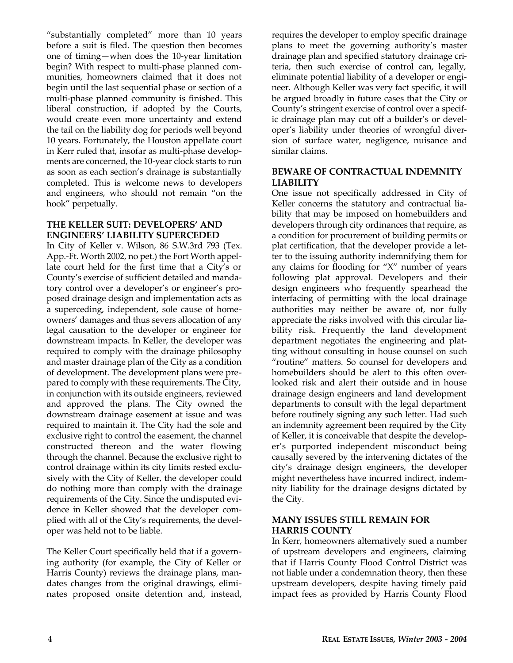"substantially completed" more than 10 years before a suit is filed. The question then becomes one of timing—when does the 10-year limitation begin? With respect to multi-phase planned communities, homeowners claimed that it does not begin until the last sequential phase or section of a multi-phase planned community is finished. This liberal construction, if adopted by the Courts, would create even more uncertainty and extend the tail on the liability dog for periods well beyond 10 years. Fortunately, the Houston appellate court in Kerr ruled that, insofar as multi-phase developments are concerned, the 10-year clock starts to run as soon as each section's drainage is substantially completed. This is welcome news to developers and engineers, who should not remain "on the hook" perpetually.

#### **THE KELLER SUIT: DEVELOPERS' AND ENGINEERS' LIABILITY SUPERCEDED**

In City of Keller v. Wilson, 86 S.W.3rd 793 (Tex. App.-Ft. Worth 2002, no pet.) the Fort Worth appellate court held for the first time that a City's or County's exercise of sufficient detailed and mandatory control over a developer's or engineer's proposed drainage design and implementation acts as a superceding, independent, sole cause of homeowners' damages and thus severs allocation of any legal causation to the developer or engineer for downstream impacts. In Keller, the developer was required to comply with the drainage philosophy and master drainage plan of the City as a condition of development. The development plans were prepared to comply with these requirements. The City, in conjunction with its outside engineers, reviewed and approved the plans. The City owned the downstream drainage easement at issue and was required to maintain it. The City had the sole and exclusive right to control the easement, the channel constructed thereon and the water flowing through the channel. Because the exclusive right to control drainage within its city limits rested exclusively with the City of Keller, the developer could do nothing more than comply with the drainage requirements of the City. Since the undisputed evidence in Keller showed that the developer complied with all of the City's requirements, the developer was held not to be liable.

The Keller Court specifically held that if a governing authority (for example, the City of Keller or Harris County) reviews the drainage plans, mandates changes from the original drawings, eliminates proposed onsite detention and, instead, requires the developer to employ specific drainage plans to meet the governing authority's master drainage plan and specified statutory drainage criteria, then such exercise of control can, legally, eliminate potential liability of a developer or engineer. Although Keller was very fact specific, it will be argued broadly in future cases that the City or County's stringent exercise of control over a specific drainage plan may cut off a builder's or developer's liability under theories of wrongful diversion of surface water, negligence, nuisance and similar claims.

#### **BEWARE OF CONTRACTUAL INDEMNITY LIABILITY**

One issue not specifically addressed in City of Keller concerns the statutory and contractual liability that may be imposed on homebuilders and developers through city ordinances that require, as a condition for procurement of building permits or plat certification, that the developer provide a letter to the issuing authority indemnifying them for any claims for flooding for "X" number of years following plat approval. Developers and their design engineers who frequently spearhead the interfacing of permitting with the local drainage authorities may neither be aware of, nor fully appreciate the risks involved with this circular liability risk. Frequently the land development department negotiates the engineering and platting without consulting in house counsel on such "routine" matters. So counsel for developers and homebuilders should be alert to this often overlooked risk and alert their outside and in house drainage design engineers and land development departments to consult with the legal department before routinely signing any such letter. Had such an indemnity agreement been required by the City of Keller, it is conceivable that despite the developer's purported independent misconduct being causally severed by the intervening dictates of the city's drainage design engineers, the developer might nevertheless have incurred indirect, indemnity liability for the drainage designs dictated by the City.

#### **MANY ISSUES STILL REMAIN FOR HARRIS COUNTY**

In Kerr, homeowners alternatively sued a number of upstream developers and engineers, claiming that if Harris County Flood Control District was not liable under a condemnation theory, then these upstream developers, despite having timely paid impact fees as provided by Harris County Flood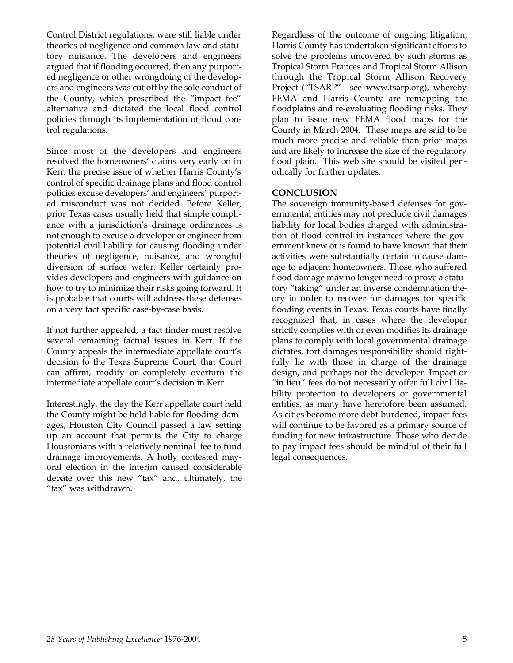Control District regulations, were still liable under theories of negligence and common law and statutory nuisance. The developers and engineers argued that if flooding occurred, then any purported negligence or other wrongdoing of the developers and engineers was cut off by the sole conduct of the County, which prescribed the "impact fee" alternative and dictated the local flood control policies through its implementation of flood control regulations.

Since most of the developers and engineers resolved the homeowners' claims very early on in Kerr, the precise issue of whether Harris County's control of specific drainage plans and flood control policies excuse developers' and engineers' purported misconduct was not decided. Before Keller, prior Texas cases usually held that simple compliance with a jurisdiction's drainage ordinances is not enough to excuse a developer or engineer from potential civil liability for causing flooding under theories of negligence, nuisance, and wrongful diversion of surface water. Keller certainly provides developers and engineers with guidance on how to try to minimize their risks going forward. It is probable that courts will address these defenses on a very fact specific case-by-case basis.

If not further appealed, a fact finder must resolve several remaining factual issues in Kerr. If the County appeals the intermediate appellate court's decision to the Texas Supreme Court, that Court can affirm, modify or completely overturn the intermediate appellate court's decision in Kerr.

Interestingly, the day the Kerr appellate court held the County might be held liable for flooding damages, Houston City Council passed a law setting up an account that permits the City to charge Houstonians with a relatively nominal fee to fund drainage improvements. A hotly contested mayoral election in the interim caused considerable debate over this new "tax" and, ultimately, the "tax" was withdrawn.

Regardless of the outcome of ongoing litigation, Harris County has undertaken significant efforts to solve the problems uncovered by such storms as Tropical Storm Frances and Tropical Storm Allison through the Tropical Storm Allison Recovery Project ("TSARP"—see www.tsarp.org), whereby FEMA and Harris County are remapping the floodplains and re-evaluating flooding risks. They plan to issue new FEMA flood maps for the County in March 2004. These maps are said to be much more precise and reliable than prior maps and are likely to increase the size of the regulatory flood plain. This web site should be visited periodically for further updates.

#### **CONCLUSION**

The sovereign immunity-based defenses for governmental entities may not preclude civil damages liability for local bodies charged with administration of flood control in instances where the government knew or is found to have known that their activities were substantially certain to cause damage to adjacent homeowners. Those who suffered flood damage may no longer need to prove a statutory "taking" under an inverse condemnation theory in order to recover for damages for specific flooding events in Texas. Texas courts have finally recognized that, in cases where the developer strictly complies with or even modifies its drainage plans to comply with local governmental drainage dictates, tort damages responsibility should rightfully lie with those in charge of the drainage design, and perhaps not the developer. Impact or "in lieu" fees do not necessarily offer full civil liability protection to developers or governmental entities, as many have heretofore been assumed. As cities become more debt-burdened, impact fees will continue to be favored as a primary source of funding for new infrastructure. Those who decide to pay impact fees should be mindful of their full legal consequences.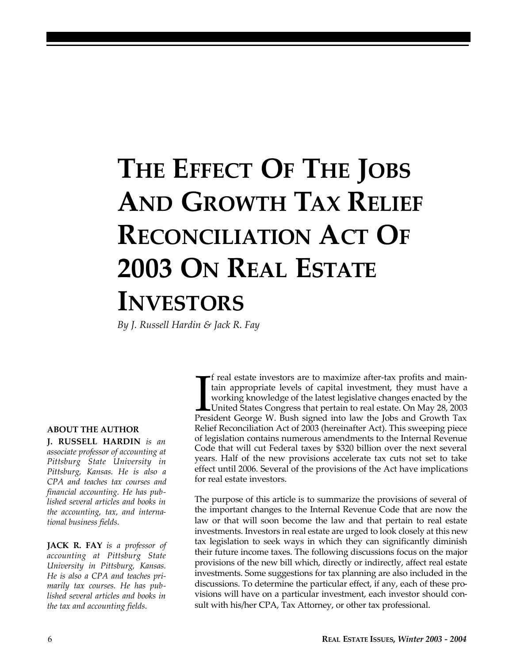# **THE EFFECT OF THE JOBS AND GROWTH TAX RELIEF RECONCILIATION ACT OF 2003 ON REAL ESTATE INVESTORS**

*By J. Russell Hardin & Jack R. Fay*

#### **ABOUT THE AUTHOR**

**J. RUSSELL HARDIN** *is an associate professor of accounting at Pittsburg State University in Pittsburg, Kansas. He is also a CPA and teaches tax courses and financial accounting. He has published several articles and books in the accounting, tax, and international business fields.*

**JACK R. FAY** *is a professor of accounting at Pittsburg State University in Pittsburg, Kansas. He is also a CPA and teaches primarily tax courses. He has published several articles and books in the tax and accounting fields.*

If real estate investors are to maximize after-tax profits and maintain appropriate levels of capital investment, they must have a working knowledge of the latest legislative changes enacted by the United States Congress t f real estate investors are to maximize after-tax profits and maintain appropriate levels of capital investment, they must have a working knowledge of the latest legislative changes enacted by the United States Congress that pertain to real estate. On May 28, 2003 Relief Reconciliation Act of 2003 (hereinafter Act). This sweeping piece of legislation contains numerous amendments to the Internal Revenue Code that will cut Federal taxes by \$320 billion over the next several years. Half of the new provisions accelerate tax cuts not set to take effect until 2006. Several of the provisions of the Act have implications for real estate investors.

The purpose of this article is to summarize the provisions of several of the important changes to the Internal Revenue Code that are now the law or that will soon become the law and that pertain to real estate investments. Investors in real estate are urged to look closely at this new tax legislation to seek ways in which they can significantly diminish their future income taxes. The following discussions focus on the major provisions of the new bill which, directly or indirectly, affect real estate investments. Some suggestions for tax planning are also included in the discussions. To determine the particular effect, if any, each of these provisions will have on a particular investment, each investor should consult with his/her CPA, Tax Attorney, or other tax professional.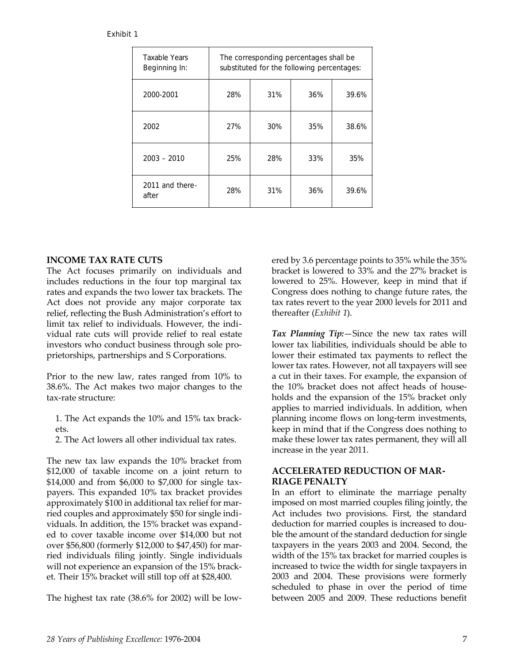#### Exhibit 1

| <b>Taxable Years</b><br>Beginning In: | The corresponding percentages shall be<br>substituted for the following percentages: |     |     |       |  |  |
|---------------------------------------|--------------------------------------------------------------------------------------|-----|-----|-------|--|--|
| 2000-2001                             | 28%                                                                                  | 31% | 36% | 39.6% |  |  |
| 2002                                  | 27%                                                                                  | 30% | 35% | 38.6% |  |  |
| $2003 - 2010$                         | 25%                                                                                  | 28% | 33% | 35%   |  |  |
| 2011 and there-<br>after              | 28%                                                                                  | 31% | 36% | 39.6% |  |  |

#### **INCOME TAX RATE CUTS**

The Act focuses primarily on individuals and includes reductions in the four top marginal tax rates and expands the two lower tax brackets. The Act does not provide any major corporate tax relief, reflecting the Bush Administration's effort to limit tax relief to individuals. However, the individual rate cuts will provide relief to real estate investors who conduct business through sole proprietorships, partnerships and S Corporations.

Prior to the new law, rates ranged from 10% to 38.6%. The Act makes two major changes to the tax-rate structure:

- 1. The Act expands the 10% and 15% tax brackets.
- 2. The Act lowers all other individual tax rates.

The new tax law expands the 10% bracket from \$12,000 of taxable income on a joint return to \$14,000 and from \$6,000 to \$7,000 for single taxpayers. This expanded 10% tax bracket provides approximately \$100 in additional tax relief for married couples and approximately \$50 for single individuals. In addition, the 15% bracket was expanded to cover taxable income over \$14,000 but not over \$56,800 (formerly \$12,000 to \$47,450) for married individuals filing jointly. Single individuals will not experience an expansion of the 15% bracket. Their 15% bracket will still top off at \$28,400.

The highest tax rate (38.6% for 2002) will be low-

ered by 3.6 percentage points to 35% while the 35% bracket is lowered to 33% and the 27% bracket is lowered to 25%. However, keep in mind that if Congress does nothing to change future rates, the tax rates revert to the year 2000 levels for 2011 and thereafter (*Exhibit 1*).

*Tax Planning Tip:*—Since the new tax rates will lower tax liabilities, individuals should be able to lower their estimated tax payments to reflect the lower tax rates. However, not all taxpayers will see a cut in their taxes. For example, the expansion of the 10% bracket does not affect heads of households and the expansion of the 15% bracket only applies to married individuals. In addition, when planning income flows on long-term investments, keep in mind that if the Congress does nothing to make these lower tax rates permanent, they will all increase in the year 2011.

#### **ACCELERATED REDUCTION OF MAR-RIAGE PENALTY**

In an effort to eliminate the marriage penalty imposed on most married couples filing jointly, the Act includes two provisions. First, the standard deduction for married couples is increased to double the amount of the standard deduction for single taxpayers in the years 2003 and 2004. Second, the width of the 15% tax bracket for married couples is increased to twice the width for single taxpayers in 2003 and 2004. These provisions were formerly scheduled to phase in over the period of time between 2005 and 2009. These reductions benefit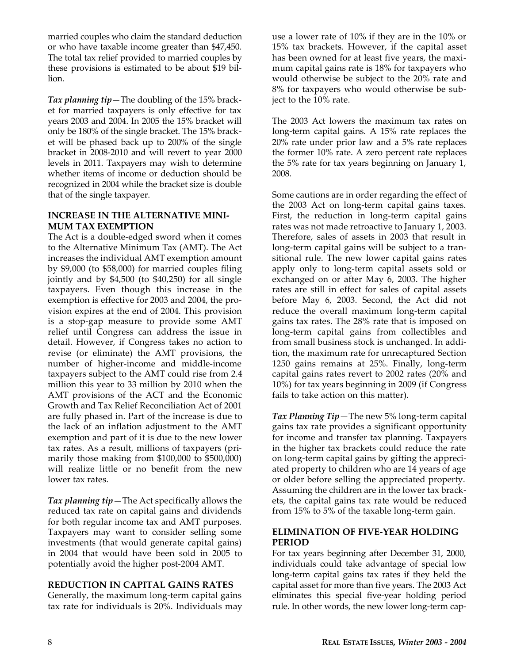married couples who claim the standard deduction or who have taxable income greater than \$47,450. The total tax relief provided to married couples by these provisions is estimated to be about \$19 billion.

*Tax planning tip*—The doubling of the 15% bracket for married taxpayers is only effective for tax years 2003 and 2004. In 2005 the 15% bracket will only be 180% of the single bracket. The 15% bracket will be phased back up to 200% of the single bracket in 2008-2010 and will revert to year 2000 levels in 2011. Taxpayers may wish to determine whether items of income or deduction should be recognized in 2004 while the bracket size is double that of the single taxpayer.

#### **INCREASE IN THE ALTERNATIVE MINI-MUM TAX EXEMPTION**

The Act is a double-edged sword when it comes to the Alternative Minimum Tax (AMT). The Act increases the individual AMT exemption amount by \$9,000 (to \$58,000) for married couples filing jointly and by \$4,500 (to \$40,250) for all single taxpayers. Even though this increase in the exemption is effective for 2003 and 2004, the provision expires at the end of 2004. This provision is a stop-gap measure to provide some AMT relief until Congress can address the issue in detail. However, if Congress takes no action to revise (or eliminate) the AMT provisions, the number of higher-income and middle-income taxpayers subject to the AMT could rise from 2.4 million this year to 33 million by 2010 when the AMT provisions of the ACT and the Economic Growth and Tax Relief Reconciliation Act of 2001 are fully phased in. Part of the increase is due to the lack of an inflation adjustment to the AMT exemption and part of it is due to the new lower tax rates. As a result, millions of taxpayers (primarily those making from \$100,000 to \$500,000) will realize little or no benefit from the new lower tax rates.

*Tax planning tip*—The Act specifically allows the reduced tax rate on capital gains and dividends for both regular income tax and AMT purposes. Taxpayers may want to consider selling some investments (that would generate capital gains) in 2004 that would have been sold in 2005 to potentially avoid the higher post-2004 AMT.

### **REDUCTION IN CAPITAL GAINS RATES**

Generally, the maximum long-term capital gains tax rate for individuals is 20%. Individuals may use a lower rate of 10% if they are in the 10% or 15% tax brackets. However, if the capital asset has been owned for at least five years, the maximum capital gains rate is 18% for taxpayers who would otherwise be subject to the 20% rate and 8% for taxpayers who would otherwise be subject to the 10% rate.

The 2003 Act lowers the maximum tax rates on long-term capital gains. A 15% rate replaces the 20% rate under prior law and a 5% rate replaces the former 10% rate. A zero percent rate replaces the 5% rate for tax years beginning on January 1, 2008.

Some cautions are in order regarding the effect of the 2003 Act on long-term capital gains taxes. First, the reduction in long-term capital gains rates was not made retroactive to January 1, 2003. Therefore, sales of assets in 2003 that result in long-term capital gains will be subject to a transitional rule. The new lower capital gains rates apply only to long-term capital assets sold or exchanged on or after May 6, 2003. The higher rates are still in effect for sales of capital assets before May 6, 2003. Second, the Act did not reduce the overall maximum long-term capital gains tax rates. The 28% rate that is imposed on long-term capital gains from collectibles and from small business stock is unchanged. In addition, the maximum rate for unrecaptured Section 1250 gains remains at 25%. Finally, long-term capital gains rates revert to 2002 rates (20% and 10%) for tax years beginning in 2009 (if Congress fails to take action on this matter).

*Tax Planning Tip*—The new 5% long-term capital gains tax rate provides a significant opportunity for income and transfer tax planning. Taxpayers in the higher tax brackets could reduce the rate on long-term capital gains by gifting the appreciated property to children who are 14 years of age or older before selling the appreciated property. Assuming the children are in the lower tax brackets, the capital gains tax rate would be reduced from 15% to 5% of the taxable long-term gain.

#### **ELIMINATION OF FIVE-YEAR HOLDING PERIOD**

For tax years beginning after December 31, 2000, individuals could take advantage of special low long-term capital gains tax rates if they held the capital asset for more than five years. The 2003 Act eliminates this special five-year holding period rule. In other words, the new lower long-term cap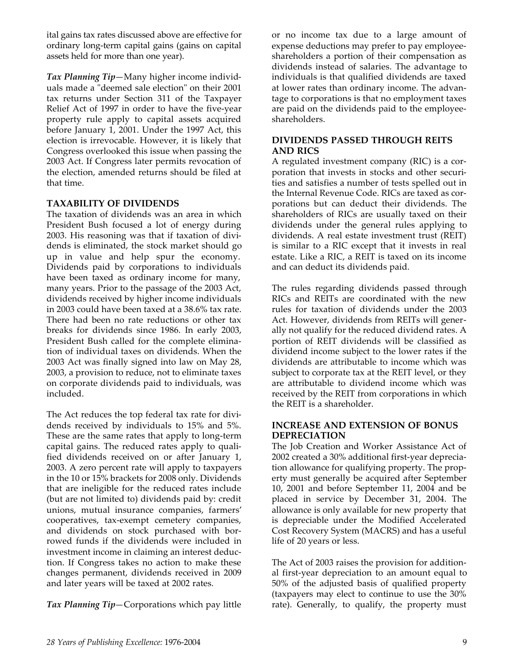ital gains tax rates discussed above are effective for ordinary long-term capital gains (gains on capital assets held for more than one year).

*Tax Planning Tip*—Many higher income individuals made a "deemed sale election" on their 2001 tax returns under Section 311 of the Taxpayer Relief Act of 1997 in order to have the five-year property rule apply to capital assets acquired before January 1, 2001. Under the 1997 Act, this election is irrevocable. However, it is likely that Congress overlooked this issue when passing the 2003 Act. If Congress later permits revocation of the election, amended returns should be filed at that time.

#### **TAXABILITY OF DIVIDENDS**

The taxation of dividends was an area in which President Bush focused a lot of energy during 2003. His reasoning was that if taxation of dividends is eliminated, the stock market should go up in value and help spur the economy. Dividends paid by corporations to individuals have been taxed as ordinary income for many, many years. Prior to the passage of the 2003 Act, dividends received by higher income individuals in 2003 could have been taxed at a 38.6% tax rate. There had been no rate reductions or other tax breaks for dividends since 1986. In early 2003, President Bush called for the complete elimination of individual taxes on dividends. When the 2003 Act was finally signed into law on May 28, 2003, a provision to reduce, not to eliminate taxes on corporate dividends paid to individuals, was included.

The Act reduces the top federal tax rate for dividends received by individuals to 15% and 5%. These are the same rates that apply to long-term capital gains. The reduced rates apply to qualified dividends received on or after January 1, 2003. A zero percent rate will apply to taxpayers in the 10 or 15% brackets for 2008 only. Dividends that are ineligible for the reduced rates include (but are not limited to) dividends paid by: credit unions, mutual insurance companies, farmers' cooperatives, tax-exempt cemetery companies, and dividends on stock purchased with borrowed funds if the dividends were included in investment income in claiming an interest deduction. If Congress takes no action to make these changes permanent, dividends received in 2009 and later years will be taxed at 2002 rates.

*Tax Planning Tip*—Corporations which pay little

or no income tax due to a large amount of expense deductions may prefer to pay employeeshareholders a portion of their compensation as dividends instead of salaries. The advantage to individuals is that qualified dividends are taxed at lower rates than ordinary income. The advantage to corporations is that no employment taxes are paid on the dividends paid to the employeeshareholders.

#### **DIVIDENDS PASSED THROUGH REITS AND RICS**

A regulated investment company (RIC) is a corporation that invests in stocks and other securities and satisfies a number of tests spelled out in the Internal Revenue Code. RICs are taxed as corporations but can deduct their dividends. The shareholders of RICs are usually taxed on their dividends under the general rules applying to dividends. A real estate investment trust (REIT) is similar to a RIC except that it invests in real estate. Like a RIC, a REIT is taxed on its income and can deduct its dividends paid.

The rules regarding dividends passed through RICs and REITs are coordinated with the new rules for taxation of dividends under the 2003 Act. However, dividends from REITs will generally not qualify for the reduced dividend rates. A portion of REIT dividends will be classified as dividend income subject to the lower rates if the dividends are attributable to income which was subject to corporate tax at the REIT level, or they are attributable to dividend income which was received by the REIT from corporations in which the REIT is a shareholder.

#### **INCREASE AND EXTENSION OF BONUS DEPRECIATION**

The Job Creation and Worker Assistance Act of 2002 created a 30% additional first-year depreciation allowance for qualifying property. The property must generally be acquired after September 10, 2001 and before September 11, 2004 and be placed in service by December 31, 2004. The allowance is only available for new property that is depreciable under the Modified Accelerated Cost Recovery System (MACRS) and has a useful life of 20 years or less.

The Act of 2003 raises the provision for additional first-year depreciation to an amount equal to 50% of the adjusted basis of qualified property (taxpayers may elect to continue to use the 30% rate). Generally, to qualify, the property must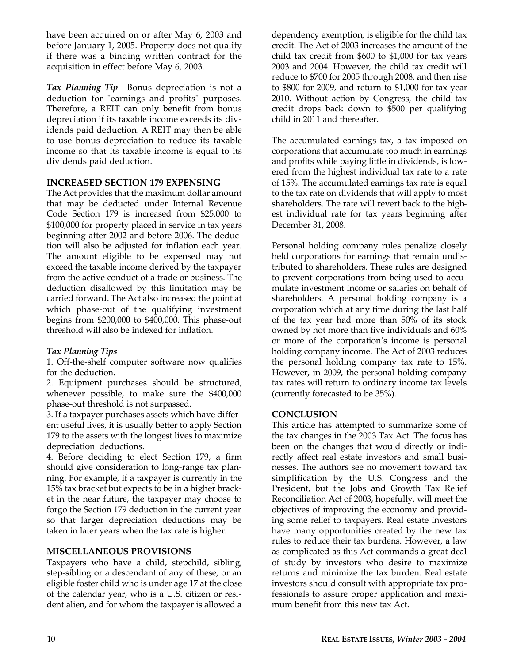have been acquired on or after May 6, 2003 and before January 1, 2005. Property does not qualify if there was a binding written contract for the acquisition in effect before May 6, 2003.

*Tax Planning Tip*—Bonus depreciation is not a deduction for "earnings and profits" purposes. Therefore, a REIT can only benefit from bonus depreciation if its taxable income exceeds its dividends paid deduction. A REIT may then be able to use bonus depreciation to reduce its taxable income so that its taxable income is equal to its dividends paid deduction.

#### **INCREASED SECTION 179 EXPENSING**

The Act provides that the maximum dollar amount that may be deducted under Internal Revenue Code Section 179 is increased from \$25,000 to \$100,000 for property placed in service in tax years beginning after 2002 and before 2006. The deduction will also be adjusted for inflation each year. The amount eligible to be expensed may not exceed the taxable income derived by the taxpayer from the active conduct of a trade or business. The deduction disallowed by this limitation may be carried forward. The Act also increased the point at which phase-out of the qualifying investment begins from \$200,000 to \$400,000. This phase-out threshold will also be indexed for inflation.

#### *Tax Planning Tips*

1. Off-the-shelf computer software now qualifies for the deduction.

2. Equipment purchases should be structured, whenever possible, to make sure the \$400,000 phase-out threshold is not surpassed.

3. If a taxpayer purchases assets which have different useful lives, it is usually better to apply Section 179 to the assets with the longest lives to maximize depreciation deductions.

4. Before deciding to elect Section 179, a firm should give consideration to long-range tax planning. For example, if a taxpayer is currently in the 15% tax bracket but expects to be in a higher bracket in the near future, the taxpayer may choose to forgo the Section 179 deduction in the current year so that larger depreciation deductions may be taken in later years when the tax rate is higher.

#### **MISCELLANEOUS PROVISIONS**

Taxpayers who have a child, stepchild, sibling, step-sibling or a descendant of any of these, or an eligible foster child who is under age 17 at the close of the calendar year, who is a U.S. citizen or resident alien, and for whom the taxpayer is allowed a

dependency exemption, is eligible for the child tax credit. The Act of 2003 increases the amount of the child tax credit from \$600 to \$1,000 for tax years 2003 and 2004. However, the child tax credit will reduce to \$700 for 2005 through 2008, and then rise to \$800 for 2009, and return to \$1,000 for tax year 2010. Without action by Congress, the child tax credit drops back down to \$500 per qualifying child in 2011 and thereafter.

The accumulated earnings tax, a tax imposed on corporations that accumulate too much in earnings and profits while paying little in dividends, is lowered from the highest individual tax rate to a rate of 15%. The accumulated earnings tax rate is equal to the tax rate on dividends that will apply to most shareholders. The rate will revert back to the highest individual rate for tax years beginning after December 31, 2008.

Personal holding company rules penalize closely held corporations for earnings that remain undistributed to shareholders. These rules are designed to prevent corporations from being used to accumulate investment income or salaries on behalf of shareholders. A personal holding company is a corporation which at any time during the last half of the tax year had more than 50% of its stock owned by not more than five individuals and 60% or more of the corporation's income is personal holding company income. The Act of 2003 reduces the personal holding company tax rate to 15%. However, in 2009, the personal holding company tax rates will return to ordinary income tax levels (currently forecasted to be 35%).

#### **CONCLUSION**

This article has attempted to summarize some of the tax changes in the 2003 Tax Act. The focus has been on the changes that would directly or indirectly affect real estate investors and small businesses. The authors see no movement toward tax simplification by the U.S. Congress and the President, but the Jobs and Growth Tax Relief Reconciliation Act of 2003, hopefully, will meet the objectives of improving the economy and providing some relief to taxpayers. Real estate investors have many opportunities created by the new tax rules to reduce their tax burdens. However, a law as complicated as this Act commands a great deal of study by investors who desire to maximize returns and minimize the tax burden. Real estate investors should consult with appropriate tax professionals to assure proper application and maximum benefit from this new tax Act.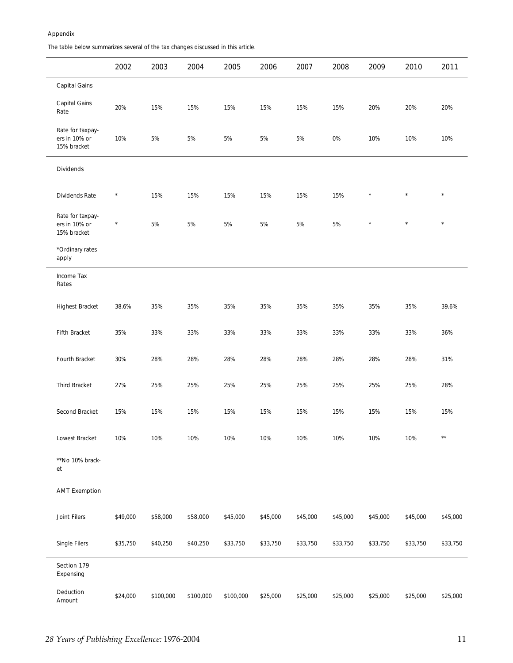#### Appendix

The table below summarizes several of the tax changes discussed in this article.

|                                                  | 2002     | 2003      | 2004      | 2005      | 2006     | 2007     | 2008     | 2009     | 2010     | 2011         |
|--------------------------------------------------|----------|-----------|-----------|-----------|----------|----------|----------|----------|----------|--------------|
| <b>Capital Gains</b>                             |          |           |           |           |          |          |          |          |          |              |
| Capital Gains<br>Rate                            | 20%      | 15%       | 15%       | 15%       | 15%      | 15%      | 15%      | 20%      | 20%      | 20%          |
| Rate for taxpay-<br>ers in 10% or<br>15% bracket | 10%      | 5%        | 5%        | 5%        | 5%       | 5%       | 0%       | 10%      | 10%      | 10%          |
| <b>Dividends</b>                                 |          |           |           |           |          |          |          |          |          |              |
| Dividends Rate                                   | $\star$  | 15%       | 15%       | 15%       | 15%      | 15%      | 15%      | $\star$  | $\star$  | $\star$      |
| Rate for taxpay-<br>ers in 10% or<br>15% bracket | $^\star$ | 5%        | 5%        | 5%        | 5%       | 5%       | 5%       | $\star$  | $\star$  | $\star$      |
| *Ordinary rates<br>apply                         |          |           |           |           |          |          |          |          |          |              |
| <b>Income Tax</b><br>Rates                       |          |           |           |           |          |          |          |          |          |              |
| <b>Highest Bracket</b>                           | 38.6%    | 35%       | 35%       | 35%       | 35%      | 35%      | 35%      | 35%      | 35%      | 39.6%        |
| Fifth Bracket                                    | 35%      | 33%       | 33%       | 33%       | 33%      | 33%      | 33%      | 33%      | 33%      | 36%          |
| Fourth Bracket                                   | 30%      | 28%       | 28%       | 28%       | 28%      | 28%      | 28%      | 28%      | 28%      | 31%          |
| <b>Third Bracket</b>                             | 27%      | 25%       | 25%       | 25%       | 25%      | 25%      | 25%      | 25%      | 25%      | 28%          |
| Second Bracket                                   | 15%      | 15%       | 15%       | 15%       | 15%      | 15%      | 15%      | 15%      | 15%      | 15%          |
| Lowest Bracket                                   | 10%      | 10%       | 10%       | 10%       | 10%      | 10%      | 10%      | 10%      | 10%      | $\star\star$ |
| **No 10% brack-<br>et                            |          |           |           |           |          |          |          |          |          |              |
| <b>AMT Exemption</b>                             |          |           |           |           |          |          |          |          |          |              |
| Joint Filers                                     | \$49,000 | \$58,000  | \$58,000  | \$45,000  | \$45,000 | \$45,000 | \$45,000 | \$45,000 | \$45,000 | \$45,000     |
| Single Filers                                    | \$35,750 | \$40,250  | \$40,250  | \$33,750  | \$33,750 | \$33,750 | \$33,750 | \$33,750 | \$33,750 | \$33,750     |
| Section 179<br>Expensing                         |          |           |           |           |          |          |          |          |          |              |
| Deduction<br>Amount                              | \$24,000 | \$100,000 | \$100,000 | \$100,000 | \$25,000 | \$25,000 | \$25,000 | \$25,000 | \$25,000 | \$25,000     |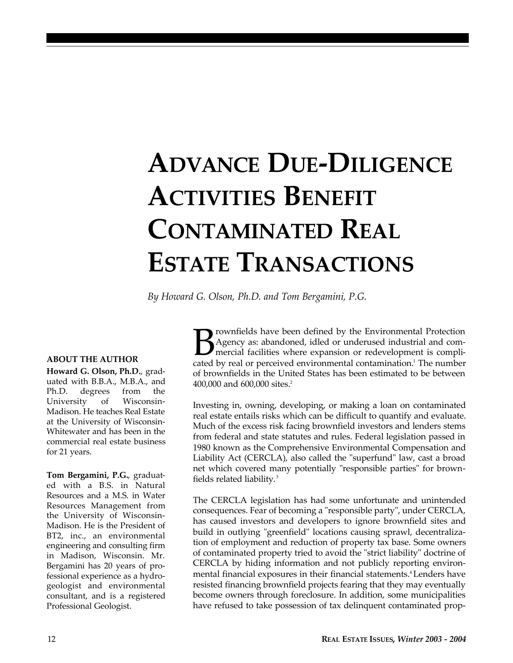# **ADVANCE DUE-DILIGENCE ACTIVITIES BENEFIT CONTAMINATED REAL ESTATE TRANSACTIONS**

*By Howard G. Olson, Ph.D. and Tom Bergamini, P.G.*

#### **ABOUT THE AUTHOR**

**Howard G. Olson, Ph.D.**, graduated with B.B.A., M.B.A., and Ph.D. degrees from the University of Wisconsin-Madison. He teaches Real Estate at the University of Wisconsin-Whitewater and has been in the commercial real estate business for 21 years.

**Tom Bergamini, P.G.**, graduated with a B.S. in Natural Resources and a M.S. in Water Resources Management from the University of Wisconsin-Madison. He is the President of BT2, inc., an environmental engineering and consulting firm in Madison, Wisconsin. Mr. Bergamini has 20 years of professional experience as a hydrogeologist and environmental consultant, and is a registered Professional Geologist.

B rownfields have been defined by the Environmental Protection<br>Agency as: abandoned, idled or underused industrial and com-<br>mercial facilities where expansion or redevelopment is compli-<br>cated by real or perceived environm rownfields have been defined by the Environmental Protection Agency as: abandoned, idled or underused industrial and comcated by real or perceived environmental contamination.<sup>1</sup> The number of brownfields in the United States has been estimated to be between 400,000 and 600,000 sites.<sup>2</sup>

Investing in, owning, developing, or making a loan on contaminated real estate entails risks which can be difficult to quantify and evaluate. Much of the excess risk facing brownfield investors and lenders stems from federal and state statutes and rules. Federal legislation passed in 1980 known as the Comprehensive Environmental Compensation and Liability Act (CERCLA), also called the "superfund" law, cast a broad net which covered many potentially "responsible parties" for brownfields related liability. <sup>3</sup>

The CERCLA legislation has had some unfortunate and unintended consequences. Fear of becoming a "responsible party", under CERCLA, has caused investors and developers to ignore brownfield sites and build in outlying "greenfield" locations causing sprawl, decentralization of employment and reduction of property tax base. Some owners of contaminated property tried to avoid the "strict liability" doctrine of CERCLA by hiding information and not publicly reporting environmental financial exposures in their financial statements.<sup>4</sup> Lenders have resisted financing brownfield projects fearing that they may eventually become owners through foreclosure. In addition, some municipalities have refused to take possession of tax delinquent contaminated prop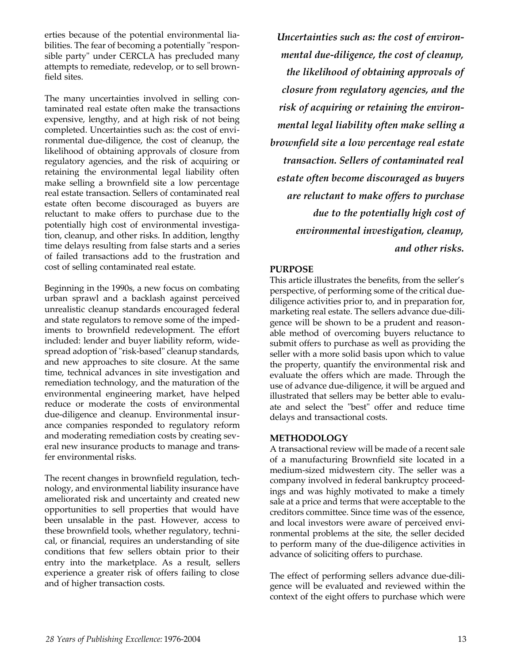erties because of the potential environmental liabilities. The fear of becoming a potentially "responsible party" under CERCLA has precluded many attempts to remediate, redevelop, or to sell brownfield sites.

The many uncertainties involved in selling contaminated real estate often make the transactions expensive, lengthy, and at high risk of not being completed. Uncertainties such as: the cost of environmental due-diligence, the cost of cleanup, the likelihood of obtaining approvals of closure from regulatory agencies, and the risk of acquiring or retaining the environmental legal liability often make selling a brownfield site a low percentage real estate transaction. Sellers of contaminated real estate often become discouraged as buyers are reluctant to make offers to purchase due to the potentially high cost of environmental investigation, cleanup, and other risks. In addition, lengthy time delays resulting from false starts and a series of failed transactions add to the frustration and cost of selling contaminated real estate.

Beginning in the 1990s, a new focus on combating urban sprawl and a backlash against perceived unrealistic cleanup standards encouraged federal and state regulators to remove some of the impediments to brownfield redevelopment. The effort included: lender and buyer liability reform, widespread adoption of "risk-based" cleanup standards, and new approaches to site closure. At the same time, technical advances in site investigation and remediation technology, and the maturation of the environmental engineering market, have helped reduce or moderate the costs of environmental due-diligence and cleanup. Environmental insurance companies responded to regulatory reform and moderating remediation costs by creating several new insurance products to manage and transfer environmental risks.

The recent changes in brownfield regulation, technology, and environmental liability insurance have ameliorated risk and uncertainty and created new opportunities to sell properties that would have been unsalable in the past. However, access to these brownfield tools, whether regulatory, technical, or financial, requires an understanding of site conditions that few sellers obtain prior to their entry into the marketplace. As a result, sellers experience a greater risk of offers failing to close and of higher transaction costs.

*Uncertainties such as: the cost of environmental due-diligence, the cost of cleanup, the likelihood of obtaining approvals of closure from regulatory agencies, and the risk of acquiring or retaining the environmental legal liability often make selling a brownfield site a low percentage real estate transaction. Sellers of contaminated real estate often become discouraged as buyers are reluctant to make offers to purchase due to the potentially high cost of environmental investigation, cleanup, and other risks.*

#### **PURPOSE**

This article illustrates the benefits, from the seller's perspective, of performing some of the critical duediligence activities prior to, and in preparation for, marketing real estate. The sellers advance due-diligence will be shown to be a prudent and reasonable method of overcoming buyers reluctance to submit offers to purchase as well as providing the seller with a more solid basis upon which to value the property, quantify the environmental risk and evaluate the offers which are made. Through the use of advance due-diligence, it will be argued and illustrated that sellers may be better able to evaluate and select the "best" offer and reduce time delays and transactional costs.

#### **METHODOLOGY**

A transactional review will be made of a recent sale of a manufacturing Brownfield site located in a medium-sized midwestern city. The seller was a company involved in federal bankruptcy proceedings and was highly motivated to make a timely sale at a price and terms that were acceptable to the creditors committee. Since time was of the essence, and local investors were aware of perceived environmental problems at the site, the seller decided to perform many of the due-diligence activities in advance of soliciting offers to purchase.

The effect of performing sellers advance due-diligence will be evaluated and reviewed within the context of the eight offers to purchase which were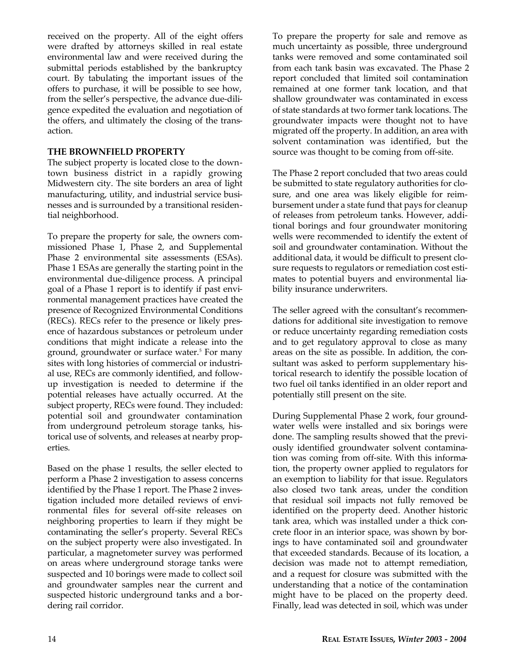received on the property. All of the eight offers were drafted by attorneys skilled in real estate environmental law and were received during the submittal periods established by the bankruptcy court. By tabulating the important issues of the offers to purchase, it will be possible to see how, from the seller's perspective, the advance due-diligence expedited the evaluation and negotiation of the offers, and ultimately the closing of the transaction.

#### **THE BROWNFIELD PROPERTY**

The subject property is located close to the downtown business district in a rapidly growing Midwestern city. The site borders an area of light manufacturing, utility, and industrial service businesses and is surrounded by a transitional residential neighborhood.

To prepare the property for sale, the owners commissioned Phase 1, Phase 2, and Supplemental Phase 2 environmental site assessments (ESAs). Phase 1 ESAs are generally the starting point in the environmental due-diligence process. A principal goal of a Phase 1 report is to identify if past environmental management practices have created the presence of Recognized Environmental Conditions (RECs). RECs refer to the presence or likely presence of hazardous substances or petroleum under conditions that might indicate a release into the ground, groundwater or surface water.<sup>5</sup> For many sites with long histories of commercial or industrial use, RECs are commonly identified, and followup investigation is needed to determine if the potential releases have actually occurred. At the subject property, RECs were found. They included: potential soil and groundwater contamination from underground petroleum storage tanks, historical use of solvents, and releases at nearby properties.

Based on the phase 1 results, the seller elected to perform a Phase 2 investigation to assess concerns identified by the Phase 1 report. The Phase 2 investigation included more detailed reviews of environmental files for several off-site releases on neighboring properties to learn if they might be contaminating the seller's property. Several RECs on the subject property were also investigated. In particular, a magnetometer survey was performed on areas where underground storage tanks were suspected and 10 borings were made to collect soil and groundwater samples near the current and suspected historic underground tanks and a bordering rail corridor.

To prepare the property for sale and remove as much uncertainty as possible, three underground tanks were removed and some contaminated soil from each tank basin was excavated. The Phase 2 report concluded that limited soil contamination remained at one former tank location, and that shallow groundwater was contaminated in excess of state standards at two former tank locations. The groundwater impacts were thought not to have migrated off the property. In addition, an area with solvent contamination was identified, but the source was thought to be coming from off-site.

The Phase 2 report concluded that two areas could be submitted to state regulatory authorities for closure, and one area was likely eligible for reimbursement under a state fund that pays for cleanup of releases from petroleum tanks. However, additional borings and four groundwater monitoring wells were recommended to identify the extent of soil and groundwater contamination. Without the additional data, it would be difficult to present closure requests to regulators or remediation cost estimates to potential buyers and environmental liability insurance underwriters.

The seller agreed with the consultant's recommendations for additional site investigation to remove or reduce uncertainty regarding remediation costs and to get regulatory approval to close as many areas on the site as possible. In addition, the consultant was asked to perform supplementary historical research to identify the possible location of two fuel oil tanks identified in an older report and potentially still present on the site.

During Supplemental Phase 2 work, four groundwater wells were installed and six borings were done. The sampling results showed that the previously identified groundwater solvent contamination was coming from off-site. With this information, the property owner applied to regulators for an exemption to liability for that issue. Regulators also closed two tank areas, under the condition that residual soil impacts not fully removed be identified on the property deed. Another historic tank area, which was installed under a thick concrete floor in an interior space, was shown by borings to have contaminated soil and groundwater that exceeded standards. Because of its location, a decision was made not to attempt remediation, and a request for closure was submitted with the understanding that a notice of the contamination might have to be placed on the property deed. Finally, lead was detected in soil, which was under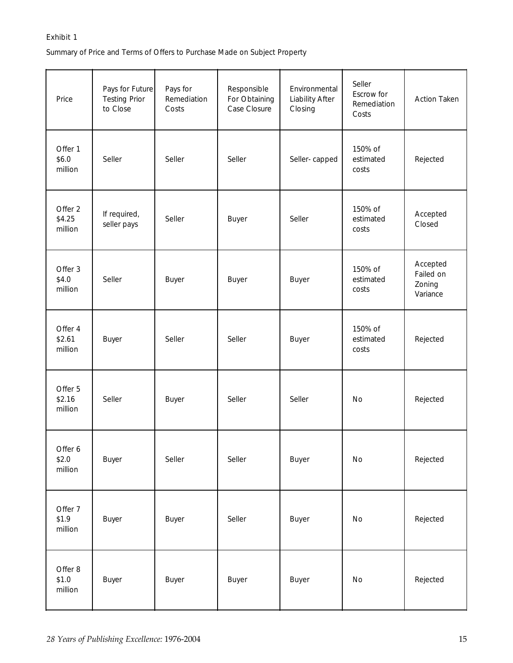#### Exhibit 1

Summary of Price and Terms of Offers to Purchase Made on Subject Property

| Price                        | Pays for Future<br><b>Testing Prior</b><br>to Close | Pays for<br>Remediation<br>Costs | Responsible<br>For Obtaining<br>Case Closure | Environmental<br><b>Liability After</b><br>Closing | Seller<br>Escrow for<br>Remediation<br>Costs | <b>Action Taken</b>                         |
|------------------------------|-----------------------------------------------------|----------------------------------|----------------------------------------------|----------------------------------------------------|----------------------------------------------|---------------------------------------------|
| Offer 1<br>\$6.0<br>million  | Seller                                              | Seller                           | Seller                                       | Seller-capped                                      | 150% of<br>estimated<br>costs                | Rejected                                    |
| Offer 2<br>\$4.25<br>million | If required,<br>seller pays                         | Seller                           | <b>Buyer</b>                                 | Seller                                             | 150% of<br>estimated<br>costs                | Accepted<br>Closed                          |
| Offer 3<br>\$4.0<br>million  | Seller                                              | <b>Buyer</b>                     | <b>Buyer</b>                                 | <b>Buyer</b>                                       | 150% of<br>estimated<br>costs                | Accepted<br>Failed on<br>Zoning<br>Variance |
| Offer 4<br>\$2.61<br>million | <b>Buyer</b>                                        | Seller                           | Seller                                       | <b>Buyer</b>                                       | 150% of<br>estimated<br>costs                | Rejected                                    |
| Offer 5<br>\$2.16<br>million | Seller                                              | <b>Buyer</b>                     | Seller                                       | Seller                                             | No                                           | Rejected                                    |
| Offer 6<br>\$2.0<br>million  | <b>Buyer</b>                                        | Seller                           | Seller                                       | <b>Buyer</b>                                       | No                                           | Rejected                                    |
| Offer 7<br>\$1.9<br>million  | <b>Buyer</b>                                        | <b>Buyer</b>                     | Seller                                       | <b>Buyer</b>                                       | No                                           | Rejected                                    |
| Offer 8<br>\$1.0<br>million  | <b>Buyer</b>                                        | <b>Buyer</b>                     | <b>Buyer</b>                                 | <b>Buyer</b>                                       | No                                           | Rejected                                    |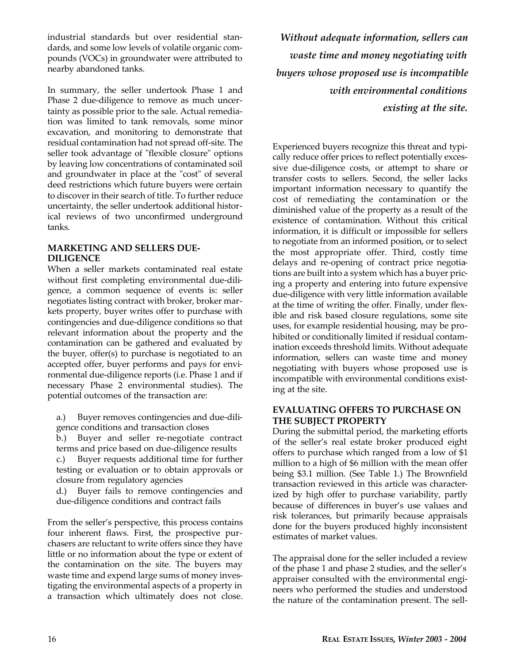industrial standards but over residential standards, and some low levels of volatile organic compounds (VOCs) in groundwater were attributed to nearby abandoned tanks.

In summary, the seller undertook Phase 1 and Phase 2 due-diligence to remove as much uncertainty as possible prior to the sale. Actual remediation was limited to tank removals, some minor excavation, and monitoring to demonstrate that residual contamination had not spread off-site. The seller took advantage of "flexible closure" options by leaving low concentrations of contaminated soil and groundwater in place at the "cost" of several deed restrictions which future buyers were certain to discover in their search of title. To further reduce uncertainty, the seller undertook additional historical reviews of two unconfirmed underground tanks.

#### **MARKETING AND SELLERS DUE-DILIGENCE**

When a seller markets contaminated real estate without first completing environmental due-diligence, a common sequence of events is: seller negotiates listing contract with broker, broker markets property, buyer writes offer to purchase with contingencies and due-diligence conditions so that relevant information about the property and the contamination can be gathered and evaluated by the buyer, offer(s) to purchase is negotiated to an accepted offer, buyer performs and pays for environmental due-diligence reports (i.e. Phase 1 and if necessary Phase 2 environmental studies). The potential outcomes of the transaction are:

- a.) Buyer removes contingencies and due-diligence conditions and transaction closes
- b.) Buyer and seller re-negotiate contract terms and price based on due-diligence results
- c.) Buyer requests additional time for further testing or evaluation or to obtain approvals or closure from regulatory agencies
- d.) Buyer fails to remove contingencies and due-diligence conditions and contract fails

From the seller's perspective, this process contains four inherent flaws. First, the prospective purchasers are reluctant to write offers since they have little or no information about the type or extent of the contamination on the site. The buyers may waste time and expend large sums of money investigating the environmental aspects of a property in a transaction which ultimately does not close.

*Without adequate information, sellers can waste time and money negotiating with buyers whose proposed use is incompatible with environmental conditions existing at the site.*

Experienced buyers recognize this threat and typically reduce offer prices to reflect potentially excessive due-diligence costs, or attempt to share or transfer costs to sellers. Second, the seller lacks important information necessary to quantify the cost of remediating the contamination or the diminished value of the property as a result of the existence of contamination. Without this critical information, it is difficult or impossible for sellers to negotiate from an informed position, or to select the most appropriate offer. Third, costly time delays and re-opening of contract price negotiations are built into a system which has a buyer pricing a property and entering into future expensive due-diligence with very little information available at the time of writing the offer. Finally, under flexible and risk based closure regulations, some site uses, for example residential housing, may be prohibited or conditionally limited if residual contamination exceeds threshold limits. Without adequate information, sellers can waste time and money negotiating with buyers whose proposed use is incompatible with environmental conditions existing at the site.

#### **EVALUATING OFFERS TO PURCHASE ON THE SUBJECT PROPERTY**

During the submittal period, the marketing efforts of the seller's real estate broker produced eight offers to purchase which ranged from a low of \$1 million to a high of \$6 million with the mean offer being \$3.1 million. (See Table 1.) The Brownfield transaction reviewed in this article was characterized by high offer to purchase variability, partly because of differences in buyer's use values and risk tolerances, but primarily because appraisals done for the buyers produced highly inconsistent estimates of market values.

The appraisal done for the seller included a review of the phase 1 and phase 2 studies, and the seller's appraiser consulted with the environmental engineers who performed the studies and understood the nature of the contamination present. The sell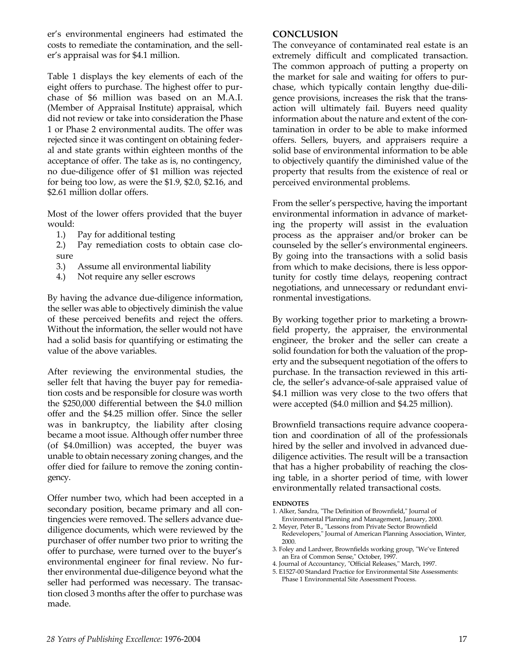er's environmental engineers had estimated the costs to remediate the contamination, and the seller's appraisal was for \$4.1 million.

Table 1 displays the key elements of each of the eight offers to purchase. The highest offer to purchase of \$6 million was based on an M.A.I. (Member of Appraisal Institute) appraisal, which did not review or take into consideration the Phase 1 or Phase 2 environmental audits. The offer was rejected since it was contingent on obtaining federal and state grants within eighteen months of the acceptance of offer. The take as is, no contingency, no due-diligence offer of \$1 million was rejected for being too low, as were the \$1.9, \$2.0, \$2.16, and \$2.61 million dollar offers.

Most of the lower offers provided that the buyer would:

- 1.) Pay for additional testing
- 2.) Pay remediation costs to obtain case closure
- 3.) Assume all environmental liability
- 4.) Not require any seller escrows

By having the advance due-diligence information, the seller was able to objectively diminish the value of these perceived benefits and reject the offers. Without the information, the seller would not have had a solid basis for quantifying or estimating the value of the above variables.

After reviewing the environmental studies, the seller felt that having the buyer pay for remediation costs and be responsible for closure was worth the \$250,000 differential between the \$4.0 million offer and the \$4.25 million offer. Since the seller was in bankruptcy, the liability after closing became a moot issue. Although offer number three (of \$4.0million) was accepted, the buyer was unable to obtain necessary zoning changes, and the offer died for failure to remove the zoning contingency.

Offer number two, which had been accepted in a secondary position, became primary and all contingencies were removed. The sellers advance duediligence documents, which were reviewed by the purchaser of offer number two prior to writing the offer to purchase, were turned over to the buyer's environmental engineer for final review. No further environmental due-diligence beyond what the seller had performed was necessary. The transaction closed 3 months after the offer to purchase was made.

#### **CONCLUSION**

The conveyance of contaminated real estate is an extremely difficult and complicated transaction. The common approach of putting a property on the market for sale and waiting for offers to purchase, which typically contain lengthy due-diligence provisions, increases the risk that the transaction will ultimately fail. Buyers need quality information about the nature and extent of the contamination in order to be able to make informed offers. Sellers, buyers, and appraisers require a solid base of environmental information to be able to objectively quantify the diminished value of the property that results from the existence of real or perceived environmental problems.

From the seller's perspective, having the important environmental information in advance of marketing the property will assist in the evaluation process as the appraiser and/or broker can be counseled by the seller's environmental engineers. By going into the transactions with a solid basis from which to make decisions, there is less opportunity for costly time delays, reopening contract negotiations, and unnecessary or redundant environmental investigations.

By working together prior to marketing a brownfield property, the appraiser, the environmental engineer, the broker and the seller can create a solid foundation for both the valuation of the property and the subsequent negotiation of the offers to purchase. In the transaction reviewed in this article, the seller's advance-of-sale appraised value of \$4.1 million was very close to the two offers that were accepted (\$4.0 million and \$4.25 million).

Brownfield transactions require advance cooperation and coordination of all of the professionals hired by the seller and involved in advanced duediligence activities. The result will be a transaction that has a higher probability of reaching the closing table, in a shorter period of time, with lower environmentally related transactional costs.

#### **ENDNOTES**

- 1. Alker, Sandra, "The Definition of Brownfield," Journal of Environmental Planning and Management, January, 2000.
- 2. Meyer, Peter B., "Lessons from Private Sector Brownfield Redevelopers," Journal of American Planning Association, Winter, 2000.
- 3. Foley and Lardwer, Brownfields working group, "We've Entered an Era of Common Sense," October, 1997.
- 4. Journal of Accountancy, "Official Releases," March, 1997.
- 5. E1527-00 Standard Practice for Environmental Site Assessments: Phase 1 Environmental Site Assessment Process.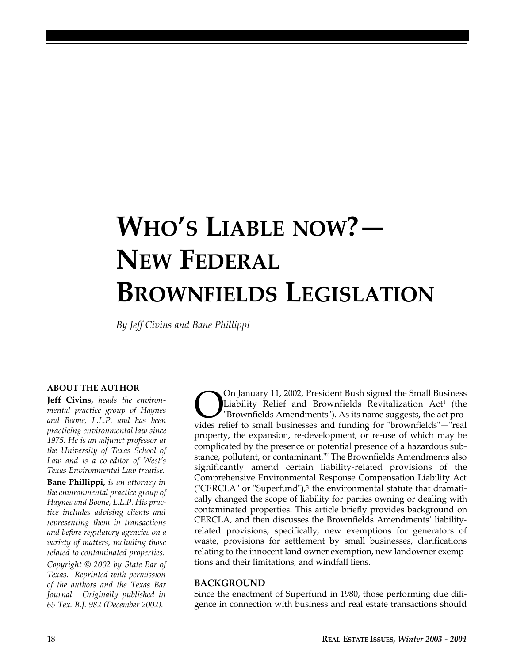# **WHO'S LIABLE NOW?— NEW FEDERAL BROWNFIELDS LEGISLATION**

*By Jeff Civins and Bane Phillippi*

#### **ABOUT THE AUTHOR**

**Jeff Civins,** *heads the environmental practice group of Haynes and Boone, L.L.P. and has been practicing environmental law since 1975. He is an adjunct professor at the University of Texas School of Law and is a co-editor of West's Texas Environmental Law treatise.*

**Bane Phillippi,** *is an attorney in the environmental practice group of Haynes and Boone, L.L.P. His practice includes advising clients and representing them in transactions and before regulatory agencies on a variety of matters, including those related to contaminated properties.*

*Copyright © 2002 by State Bar of Texas. Reprinted with permission of the authors and the Texas Bar Journal. Originally published in 65 Tex. B.J. 982 (December 2002).*

On January 11, 2002, President Bush signed the Small Business<br>Liability Relief and Brownfields Revitalization Act<sup>1</sup> (the<br>"Brownfields Amendments"). As its name suggests, the act pro-<br>vides relief to small businesses and f On January 11, 2002, President Bush signed the Small Business Liability Relief and Brownfields Revitalization Act<sup>1</sup> (the "Brownfields Amendments"). As its name suggests, the act proproperty, the expansion, re-development, or re-use of which may be complicated by the presence or potential presence of a hazardous substance, pollutant, or contaminant."<sup>2</sup> The Brownfields Amendments also significantly amend certain liability-related provisions of the Comprehensive Environmental Response Compensation Liability Act ("CERCLA" or "Superfund"), $3$  the environmental statute that dramatically changed the scope of liability for parties owning or dealing with contaminated properties. This article briefly provides background on CERCLA, and then discusses the Brownfields Amendments' liabilityrelated provisions, specifically, new exemptions for generators of waste, provisions for settlement by small businesses, clarifications relating to the innocent land owner exemption, new landowner exemptions and their limitations, and windfall liens.

#### **BACKGROUND**

Since the enactment of Superfund in 1980, those performing due diligence in connection with business and real estate transactions should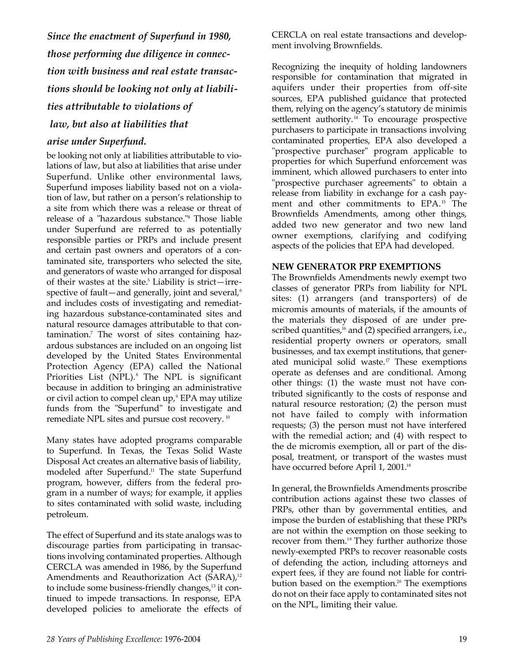*Since the enactment of Superfund in 1980, those performing due diligence in connection with business and real estate transactions should be looking not only at liabilities attributable to violations of law, but also at liabilities that* 

#### *arise under Superfund.*

be looking not only at liabilities attributable to violations of law, but also at liabilities that arise under Superfund. Unlike other environmental laws, Superfund imposes liability based not on a violation of law, but rather on a person's relationship to a site from which there was a release or threat of release of a "hazardous substance."<sup>4</sup> Those liable under Superfund are referred to as potentially responsible parties or PRPs and include present and certain past owners and operators of a contaminated site, transporters who selected the site, and generators of waste who arranged for disposal of their wastes at the site. $5$  Liability is strict—irrespective of fault—and generally, joint and several, $6$ and includes costs of investigating and remediating hazardous substance-contaminated sites and natural resource damages attributable to that contamination.<sup>7</sup> The worst of sites containing hazardous substances are included on an ongoing list developed by the United States Environmental Protection Agency (EPA) called the National Priorities List (NPL).<sup>8</sup> The NPL is significant because in addition to bringing an administrative or civil action to compel clean up,<sup>9</sup> EPA may utilize funds from the "Superfund" to investigate and remediate NPL sites and pursue cost recovery. <sup>10</sup>

Many states have adopted programs comparable to Superfund. In Texas, the Texas Solid Waste Disposal Act creates an alternative basis of liability, modeled after Superfund.<sup>11</sup> The state Superfund program, however, differs from the federal program in a number of ways; for example, it applies to sites contaminated with solid waste, including petroleum.

The effect of Superfund and its state analogs was to discourage parties from participating in transactions involving contaminated properties. Although CERCLA was amended in 1986, by the Superfund Amendments and Reauthorization Act (SARA),<sup>12</sup> to include some business-friendly changes, $13$  it continued to impede transactions. In response, EPA developed policies to ameliorate the effects of CERCLA on real estate transactions and development involving Brownfields.

Recognizing the inequity of holding landowners responsible for contamination that migrated in aquifers under their properties from off-site sources, EPA published guidance that protected them, relying on the agency's statutory de minimis settlement authority.<sup>14</sup> To encourage prospective purchasers to participate in transactions involving contaminated properties, EPA also developed a "prospective purchaser" program applicable to properties for which Superfund enforcement was imminent, which allowed purchasers to enter into "prospective purchaser agreements" to obtain a release from liability in exchange for a cash payment and other commitments to EPA.<sup>15</sup> The Brownfields Amendments, among other things, added two new generator and two new land owner exemptions, clarifying and codifying aspects of the policies that EPA had developed.

#### **NEW GENERATOR PRP EXEMPTIONS**

The Brownfields Amendments newly exempt two classes of generator PRPs from liability for NPL sites: (1) arrangers (and transporters) of de micromis amounts of materials, if the amounts of the materials they disposed of are under prescribed quantities, $16$  and (2) specified arrangers, i.e., residential property owners or operators, small businesses, and tax exempt institutions, that generated municipal solid waste.<sup>17</sup> These exemptions operate as defenses and are conditional. Among other things: (1) the waste must not have contributed significantly to the costs of response and natural resource restoration; (2) the person must not have failed to comply with information requests; (3) the person must not have interfered with the remedial action; and (4) with respect to the de micromis exemption, all or part of the disposal, treatment, or transport of the wastes must have occurred before April 1, 2001.<sup>18</sup>

In general, the Brownfields Amendments proscribe contribution actions against these two classes of PRPs, other than by governmental entities, and impose the burden of establishing that these PRPs are not within the exemption on those seeking to recover from them.<sup>19</sup> They further authorize those newly-exempted PRPs to recover reasonable costs of defending the action, including attorneys and expert fees, if they are found not liable for contribution based on the exemption.<sup>20</sup> The exemptions do not on their face apply to contaminated sites not on the NPL, limiting their value.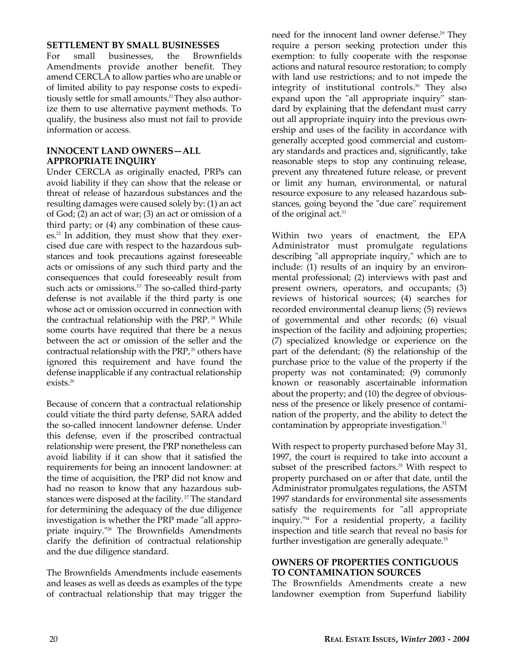#### **SETTLEMENT BY SMALL BUSINESSES**

For small businesses, the Brownfields Amendments provide another benefit. They amend CERCLA to allow parties who are unable or of limited ability to pay response costs to expeditiously settle for small amounts.<sup>21</sup> They also authorize them to use alternative payment methods. To qualify, the business also must not fail to provide information or access.

#### **INNOCENT LAND OWNERS—ALL APPROPRIATE INQUIRY**

Under CERCLA as originally enacted, PRPs can avoid liability if they can show that the release or threat of release of hazardous substances and the resulting damages were caused solely by: (1) an act of God; (2) an act of war; (3) an act or omission of a third party; or (4) any combination of these causes.<sup>22</sup> In addition, they must show that they exercised due care with respect to the hazardous substances and took precautions against foreseeable acts or omissions of any such third party and the consequences that could foreseeably result from such acts or omissions.<sup>23</sup> The so-called third-party defense is not available if the third party is one whose act or omission occurred in connection with the contractual relationship with the PRP.<sup>24</sup> While some courts have required that there be a nexus between the act or omission of the seller and the contractual relationship with the PRP, $25$  others have ignored this requirement and have found the defense inapplicable if any contractual relationship exists.<sup>26</sup>

Because of concern that a contractual relationship could vitiate the third party defense, SARA added the so-called innocent landowner defense. Under this defense, even if the proscribed contractual relationship were present, the PRP nonetheless can avoid liability if it can show that it satisfied the requirements for being an innocent landowner: at the time of acquisition, the PRP did not know and had no reason to know that any hazardous substances were disposed at the facility.<sup>27</sup> The standard for determining the adequacy of the due diligence investigation is whether the PRP made "all appropriate inquiry."<sup>28</sup> The Brownfields Amendments clarify the definition of contractual relationship and the due diligence standard.

The Brownfields Amendments include easements and leases as well as deeds as examples of the type of contractual relationship that may trigger the

need for the innocent land owner defense.<sup>29</sup> They require a person seeking protection under this exemption: to fully cooperate with the response actions and natural resource restoration; to comply with land use restrictions; and to not impede the integrity of institutional controls.<sup>30</sup> They also expand upon the "all appropriate inquiry" standard by explaining that the defendant must carry out all appropriate inquiry into the previous ownership and uses of the facility in accordance with generally accepted good commercial and customary standards and practices and, significantly, take reasonable steps to stop any continuing release, prevent any threatened future release, or prevent or limit any human, environmental, or natural resource exposure to any released hazardous substances, going beyond the "due care" requirement of the original act.<sup>31</sup>

Within two years of enactment, the EPA Administrator must promulgate regulations describing "all appropriate inquiry," which are to include: (1) results of an inquiry by an environmental professional; (2) interviews with past and present owners, operators, and occupants; (3) reviews of historical sources; (4) searches for recorded environmental cleanup liens; (5) reviews of governmental and other records; (6) visual inspection of the facility and adjoining properties; (7) specialized knowledge or experience on the part of the defendant; (8) the relationship of the purchase price to the value of the property if the property was not contaminated; (9) commonly known or reasonably ascertainable information about the property; and (10) the degree of obviousness of the presence or likely presence of contamination of the property, and the ability to detect the contamination by appropriate investigation.<sup>32</sup>

With respect to property purchased before May 31, 1997, the court is required to take into account a subset of the prescribed factors.<sup>33</sup> With respect to property purchased on or after that date, until the Administrator promulgates regulations, the ASTM 1997 standards for environmental site assessments satisfy the requirements for "all appropriate inquiry."<sup>34</sup> For a residential property, a facility inspection and title search that reveal no basis for further investigation are generally adequate.<sup>35</sup>

#### **OWNERS OF PROPERTIES CONTIGUOUS TO CONTAMINATION SOURCES**

The Brownfields Amendments create a new landowner exemption from Superfund liability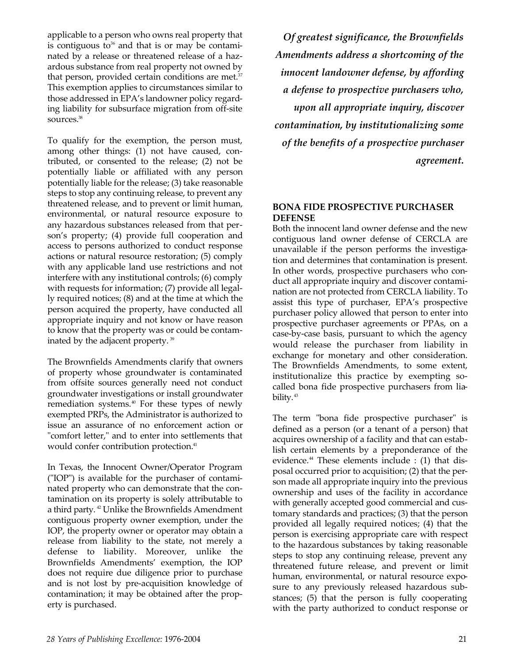applicable to a person who owns real property that is contiguous to<sup>36</sup> and that is or may be contaminated by a release or threatened release of a hazardous substance from real property not owned by that person, provided certain conditions are met. $37$ This exemption applies to circumstances similar to those addressed in EPA's landowner policy regarding liability for subsurface migration from off-site sources.<sup>38</sup>

To qualify for the exemption, the person must, among other things: (1) not have caused, contributed, or consented to the release; (2) not be potentially liable or affiliated with any person potentially liable for the release; (3) take reasonable steps to stop any continuing release, to prevent any threatened release, and to prevent or limit human, environmental, or natural resource exposure to any hazardous substances released from that person's property; (4) provide full cooperation and access to persons authorized to conduct response actions or natural resource restoration; (5) comply with any applicable land use restrictions and not interfere with any institutional controls; (6) comply with requests for information; (7) provide all legally required notices; (8) and at the time at which the person acquired the property, have conducted all appropriate inquiry and not know or have reason to know that the property was or could be contaminated by the adjacent property.<sup>39</sup>

The Brownfields Amendments clarify that owners of property whose groundwater is contaminated from offsite sources generally need not conduct groundwater investigations or install groundwater remediation systems.<sup>40</sup> For these types of newly exempted PRPs, the Administrator is authorized to issue an assurance of no enforcement action or "comfort letter," and to enter into settlements that would confer contribution protection.<sup>41</sup>

In Texas, the Innocent Owner/Operator Program ("IOP") is available for the purchaser of contaminated property who can demonstrate that the contamination on its property is solely attributable to a third party. <sup>42</sup> Unlike the Brownfields Amendment contiguous property owner exemption, under the IOP, the property owner or operator may obtain a release from liability to the state, not merely a defense to liability. Moreover, unlike the Brownfields Amendments' exemption, the IOP does not require due diligence prior to purchase and is not lost by pre-acquisition knowledge of contamination; it may be obtained after the property is purchased.

*Of greatest significance, the Brownfields Amendments address a shortcoming of the innocent landowner defense, by affording a defense to prospective purchasers who, upon all appropriate inquiry, discover contamination, by institutionalizing some of the benefits of a prospective purchaser agreement.*

#### **BONA FIDE PROSPECTIVE PURCHASER DEFENSE**

Both the innocent land owner defense and the new contiguous land owner defense of CERCLA are unavailable if the person performs the investigation and determines that contamination is present. In other words, prospective purchasers who conduct all appropriate inquiry and discover contamination are not protected from CERCLA liability. To assist this type of purchaser, EPA's prospective purchaser policy allowed that person to enter into prospective purchaser agreements or PPAs, on a case-by-case basis, pursuant to which the agency would release the purchaser from liability in exchange for monetary and other consideration. The Brownfields Amendments, to some extent, institutionalize this practice by exempting socalled bona fide prospective purchasers from liability.<sup>43</sup>

The term "bona fide prospective purchaser" is defined as a person (or a tenant of a person) that acquires ownership of a facility and that can establish certain elements by a preponderance of the evidence. $44$  These elements include : (1) that disposal occurred prior to acquisition; (2) that the person made all appropriate inquiry into the previous ownership and uses of the facility in accordance with generally accepted good commercial and customary standards and practices; (3) that the person provided all legally required notices; (4) that the person is exercising appropriate care with respect to the hazardous substances by taking reasonable steps to stop any continuing release, prevent any threatened future release, and prevent or limit human, environmental, or natural resource exposure to any previously released hazardous substances; (5) that the person is fully cooperating with the party authorized to conduct response or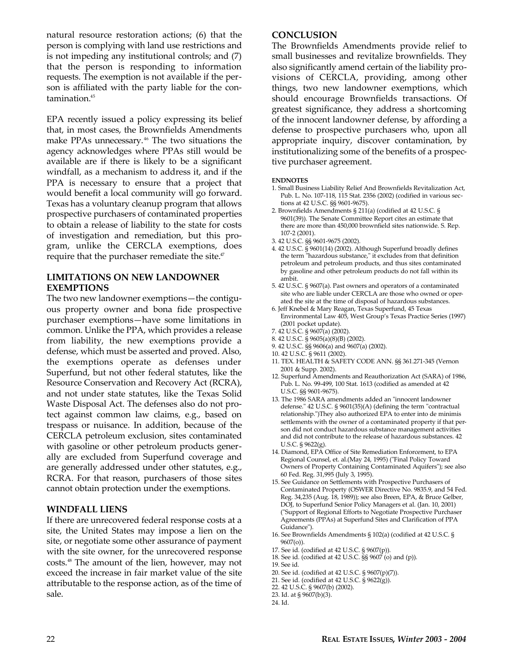natural resource restoration actions; (6) that the person is complying with land use restrictions and is not impeding any institutional controls; and (7) that the person is responding to information requests. The exemption is not available if the person is affiliated with the party liable for the contamination.<sup>45</sup>

EPA recently issued a policy expressing its belief that, in most cases, the Brownfields Amendments make PPAs unnecessary. <sup>46</sup> The two situations the agency acknowledges where PPAs still would be available are if there is likely to be a significant windfall, as a mechanism to address it, and if the PPA is necessary to ensure that a project that would benefit a local community will go forward. Texas has a voluntary cleanup program that allows prospective purchasers of contaminated properties to obtain a release of liability to the state for costs of investigation and remediation, but this program, unlike the CERCLA exemptions, does require that the purchaser remediate the site. $47$ 

#### **LIMITATIONS ON NEW LANDOWNER EXEMPTIONS**

The two new landowner exemptions—the contiguous property owner and bona fide prospective purchaser exemptions—have some limitations in common. Unlike the PPA, which provides a release from liability, the new exemptions provide a defense, which must be asserted and proved. Also, the exemptions operate as defenses under Superfund, but not other federal statutes, like the Resource Conservation and Recovery Act (RCRA), and not under state statutes, like the Texas Solid Waste Disposal Act. The defenses also do not protect against common law claims, e.g., based on trespass or nuisance. In addition, because of the CERCLA petroleum exclusion, sites contaminated with gasoline or other petroleum products generally are excluded from Superfund coverage and are generally addressed under other statutes, e.g., RCRA. For that reason, purchasers of those sites cannot obtain protection under the exemptions.

#### **WINDFALL LIENS**

If there are unrecovered federal response costs at a site, the United States may impose a lien on the site, or negotiate some other assurance of payment with the site owner, for the unrecovered response costs.<sup>48</sup> The amount of the lien, however, may not exceed the increase in fair market value of the site attributable to the response action, as of the time of sale.

#### **CONCLUSION**

The Brownfields Amendments provide relief to small businesses and revitalize brownfields. They also significantly amend certain of the liability provisions of CERCLA, providing, among other things, two new landowner exemptions, which should encourage Brownfields transactions. Of greatest significance, they address a shortcoming of the innocent landowner defense, by affording a defense to prospective purchasers who, upon all appropriate inquiry, discover contamination, by institutionalizing some of the benefits of a prospective purchaser agreement.

#### **ENDNOTES**

- 1. Small Business Liability Relief And Brownfields Revitalization Act, Pub. L. No. 107-118, 115 Stat. 2356 (2002) (codified in various sections at 42 U.S.C. §§ 9601-9675).
- 2. Brownfields Amendments § 211(a) (codified at 42 U.S.C. § 9601(39)). The Senate Committee Report cites an estimate that there are more than 450,000 brownfield sites nationwide. S. Rep. 107-2 (2001).
- 3. 42 U.S.C. §§ 9601-9675 (2002).
- 4. 42 U.S.C. § 9601(14) (2002). Although Superfund broadly defines the term "hazardous substance," it excludes from that definition petroleum and petroleum products, and thus sites contaminated by gasoline and other petroleum products do not fall within its ambit.
- 5. 42 U.S.C. § 9607(a). Past owners and operators of a contaminated site who are liable under CERCLA are those who owned or operated the site at the time of disposal of hazardous substances.
- 6. Jeff Knebel & Mary Reagan, Texas Superfund, 45 Texas Environmental Law 405, West Group's Texas Practice Series (1997) (2001 pocket update).
- 7. 42 U.S.C. § 9607(a) (2002).
- 8. 42 U.S.C. § 9605(a)(8)(B) (2002).
- 9. 42 U.S.C. §§ 9606(a) and 9607(a) (2002).
- 10. 42 U.S.C. § 9611 (2002).
- 11. TEX. HEALTH & SAFETY CODE ANN. §§ 361.271-345 (Vernon 2001 & Supp. 2002).
- 12. Superfund Amendments and Reauthorization Act (SARA) of 1986, Pub. L. No. 99-499, 100 Stat. 1613 (codified as amended at 42 U.S.C. §§ 9601-9675).
- 13. The 1986 SARA amendments added an "innocent landowner defense." 42 U.S.C. § 9601(35)(A) (defining the term "contractual relationship.")They also authorized EPA to enter into de minimis settlements with the owner of a contaminated property if that person did not conduct hazardous substance management activities and did not contribute to the release of hazardous substances. 42 U.S.C. § 9622(g).
- 14. Diamond, EPA Office of Site Remediation Enforcement, to EPA Regional Counsel, et. al.(May 24, 1995) ("Final Policy Toward Owners of Property Containing Contaminated Aquifers"); see also 60 Fed. Reg. 31,995 (July 3, 1995).
- 15. See Guidance on Settlements with Prospective Purchasers of Contaminated Property (OSWER Directive No. 9835.9, and 54 Fed. Reg. 34,235 (Aug. 18, 1989)); see also Breen, EPA, & Bruce Gelber, DOJ, to Superfund Senior Policy Managers et al. (Jan. 10, 2001) ("Support of Regional Efforts to Negotiate Prospective Purchaser Agreements (PPAs) at Superfund Sites and Clarification of PPA Guidance").
- 16. See Brownfields Amendments § 102(a) (codified at 42 U.S.C. § 9607(o)).
- 17. See id. (codified at 42 U.S.C. § 9607(p)).
- 18. See id. (codified at 42 U.S.C. §§ 9607 (o) and (p)).
- 19. See id.
- 20. See id. (codified at 42 U.S.C. § 9607(p)(7)).
- 21. See id. (codified at 42 U.S.C. § 9622(g)).
- 22. 42 U.S.C. § 9607(b) (2002).
- 23. Id. at § 9607(b)(3).
- 24. Id.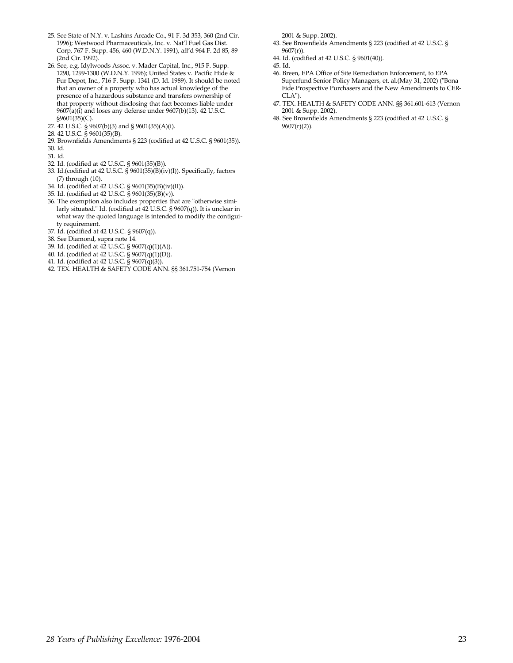- 25. See State of N.Y. v. Lashins Arcade Co., 91 F. 3d 353, 360 (2nd Cir. 1996); Westwood Pharmaceuticals, Inc. v. Nat'l Fuel Gas Dist. Corp, 767 F. Supp. 456, 460 (W.D.N.Y. 1991), aff'd 964 F. 2d 85, 89 (2nd Cir. 1992).
- 26. See, e.g, Idylwoods Assoc. v. Mader Capital, Inc., 915 F. Supp. 1290, 1299-1300 (W.D.N.Y. 1996); United States v. Pacific Hide & Fur Depot, Inc., 716 F. Supp. 1341 (D. Id. 1989). It should be noted that an owner of a property who has actual knowledge of the presence of a hazardous substance and transfers ownership of that property without disclosing that fact becomes liable under  $9607(a)(i)$  and loses any defense under  $9607(b)(13)$ . 42 U.S.C. §9601(35)(C).
- 27. 42 U.S.C. § 9607(b)(3) and § 9601(35)(A)(i).
- 28. 42 U.S.C. § 9601(35)(B).
- 29. Brownfields Amendments § 223 (codified at 42 U.S.C. § 9601(35)).
- 30. Id.
- 31. Id.
- 32. Id. (codified at 42 U.S.C. § 9601(35)(B)).
- 33. Id.(codified at 42 U.S.C.  $\frac{8}{9601(35)(B)(iv)}$ ). Specifically, factors (7) through (10).
- 34. Id. (codified at 42 U.S.C. § 9601(35)(B)(iv)(II)).
- 35. Id. (codified at 42 U.S.C. § 9601(35)(B)(v)).
- 36. The exemption also includes properties that are "otherwise similarly situated." Id. (codified at 42 U.S.C. § 9607(q)). It is unclear in what way the quoted language is intended to modify the contiguity requirement.
- 37. Id. (codified at 42 U.S.C. § 9607(q)).
- 38. See Diamond, supra note 14.
- 39. Id. (codified at 42 U.S.C. § 9607(q)(1)(A)).
- 40. Id. (codified at 42 U.S.C. § 9607(q)(1)(D)).
- 41. Id. (codified at 42 U.S.C. § 9607(q)(3)).
- 42. TEX. HEALTH & SAFETY CODE ANN. §§ 361.751-754 (Vernon

2001 & Supp. 2002).

- 43. See Brownfields Amendments § 223 (codified at 42 U.S.C. § 9607(r)).
- 44. Id. (codified at 42 U.S.C. § 9601(40)).
- 45. Id.
- 46. Breen, EPA Office of Site Remediation Enforcement, to EPA Superfund Senior Policy Managers, et. al.(May 31, 2002) ("Bona Fide Prospective Purchasers and the New Amendments to CER- $CLA"$
- 47. TEX. HEALTH & SAFETY CODE ANN. §§ 361.601-613 (Vernon 2001 & Supp. 2002).
- 48. See Brownfields Amendments § 223 (codified at 42 U.S.C. § 9607(r)(2)).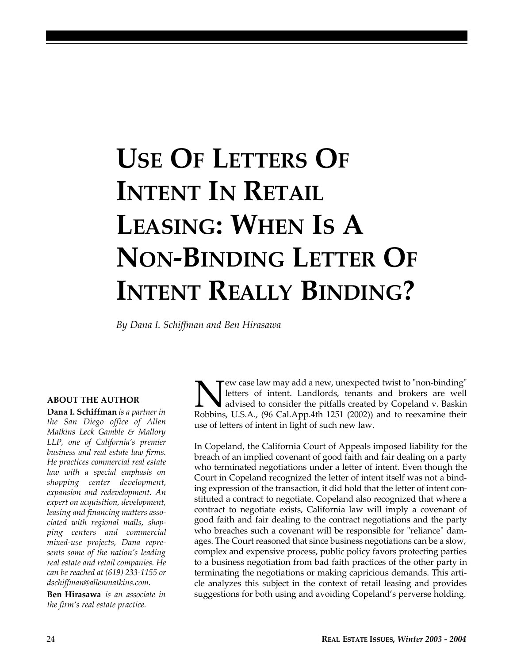# **USE OF LETTERS OF INTENT IN RETAIL LEASING: WHEN IS A NON-BINDING LETTER OF INTENT REALLY BINDING?**

*By Dana I. Schiffman and Ben Hirasawa*

#### **ABOUT THE AUTHOR**

**Dana I. Schiffman** *is a partner in the San Diego office of Allen Matkins Leck Gamble & Mallory LLP, one of California's premier business and real estate law firms. He practices commercial real estate law with a special emphasis on shopping center development, expansion and redevelopment. An expert on acquisition, development, leasing and financing matters associated with regional malls, shopping centers and commercial mixed-use projects, Dana represents some of the nation's leading real estate and retail companies. He can be reached at (619) 233-1155 or dschiffman@allenmatkins.com.*

**Ben Hirasawa** *is an associate in the firm's real estate practice.*

New case law may add a new, unexpected twist to "non-binding" letters of intent. Landlords, tenants and brokers are well advised to consider the pitfalls created by Copeland v. Baskin Robbins, U.S.A., (96 Cal.App.4th 1251 ew case law may add a new, unexpected twist to "non-binding" letters of intent. Landlords, tenants and brokers are well advised to consider the pitfalls created by Copeland v. Baskin use of letters of intent in light of such new law.

In Copeland, the California Court of Appeals imposed liability for the breach of an implied covenant of good faith and fair dealing on a party who terminated negotiations under a letter of intent. Even though the Court in Copeland recognized the letter of intent itself was not a binding expression of the transaction, it did hold that the letter of intent constituted a contract to negotiate. Copeland also recognized that where a contract to negotiate exists, California law will imply a covenant of good faith and fair dealing to the contract negotiations and the party who breaches such a covenant will be responsible for "reliance" damages. The Court reasoned that since business negotiations can be a slow, complex and expensive process, public policy favors protecting parties to a business negotiation from bad faith practices of the other party in terminating the negotiations or making capricious demands. This article analyzes this subject in the context of retail leasing and provides suggestions for both using and avoiding Copeland's perverse holding.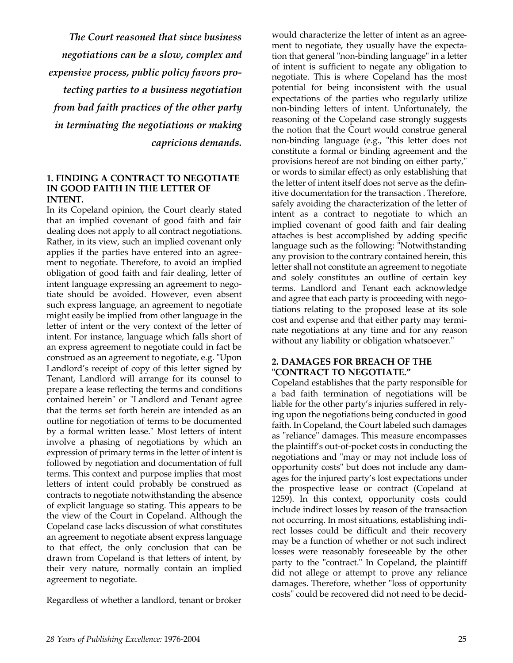*The Court reasoned that since business negotiations can be a slow, complex and expensive process, public policy favors protecting parties to a business negotiation from bad faith practices of the other party in terminating the negotiations or making capricious demands.*

#### **1. FINDING A CONTRACT TO NEGOTIATE IN GOOD FAITH IN THE LETTER OF INTENT.**

In its Copeland opinion, the Court clearly stated that an implied covenant of good faith and fair dealing does not apply to all contract negotiations. Rather, in its view, such an implied covenant only applies if the parties have entered into an agreement to negotiate. Therefore, to avoid an implied obligation of good faith and fair dealing, letter of intent language expressing an agreement to negotiate should be avoided. However, even absent such express language, an agreement to negotiate might easily be implied from other language in the letter of intent or the very context of the letter of intent. For instance, language which falls short of an express agreement to negotiate could in fact be construed as an agreement to negotiate, e.g. "Upon Landlord's receipt of copy of this letter signed by Tenant, Landlord will arrange for its counsel to prepare a lease reflecting the terms and conditions contained herein" or "Landlord and Tenant agree that the terms set forth herein are intended as an outline for negotiation of terms to be documented by a formal written lease." Most letters of intent involve a phasing of negotiations by which an expression of primary terms in the letter of intent is followed by negotiation and documentation of full terms. This context and purpose implies that most letters of intent could probably be construed as contracts to negotiate notwithstanding the absence of explicit language so stating. This appears to be the view of the Court in Copeland. Although the Copeland case lacks discussion of what constitutes an agreement to negotiate absent express language to that effect, the only conclusion that can be drawn from Copeland is that letters of intent, by their very nature, normally contain an implied agreement to negotiate.

Regardless of whether a landlord, tenant or broker

would characterize the letter of intent as an agreement to negotiate, they usually have the expectation that general "non-binding language" in a letter of intent is sufficient to negate any obligation to negotiate. This is where Copeland has the most potential for being inconsistent with the usual expectations of the parties who regularly utilize non-binding letters of intent. Unfortunately, the reasoning of the Copeland case strongly suggests the notion that the Court would construe general non-binding language (e.g., "this letter does not constitute a formal or binding agreement and the provisions hereof are not binding on either party," or words to similar effect) as only establishing that the letter of intent itself does not serve as the definitive documentation for the transaction . Therefore, safely avoiding the characterization of the letter of intent as a contract to negotiate to which an implied covenant of good faith and fair dealing attaches is best accomplished by adding specific language such as the following: "Notwithstanding any provision to the contrary contained herein, this letter shall not constitute an agreement to negotiate and solely constitutes an outline of certain key terms. Landlord and Tenant each acknowledge and agree that each party is proceeding with negotiations relating to the proposed lease at its sole cost and expense and that either party may terminate negotiations at any time and for any reason without any liability or obligation whatsoever."

#### **2. DAMAGES FOR BREACH OF THE "CONTRACT TO NEGOTIATE."**

Copeland establishes that the party responsible for a bad faith termination of negotiations will be liable for the other party's injuries suffered in relying upon the negotiations being conducted in good faith. In Copeland, the Court labeled such damages as "reliance" damages. This measure encompasses the plaintiff's out-of-pocket costs in conducting the negotiations and "may or may not include loss of opportunity costs" but does not include any damages for the injured party's lost expectations under the prospective lease or contract (Copeland at 1259). In this context, opportunity costs could include indirect losses by reason of the transaction not occurring. In most situations, establishing indirect losses could be difficult and their recovery may be a function of whether or not such indirect losses were reasonably foreseeable by the other party to the "contract." In Copeland, the plaintiff did not allege or attempt to prove any reliance damages. Therefore, whether "loss of opportunity costs" could be recovered did not need to be decid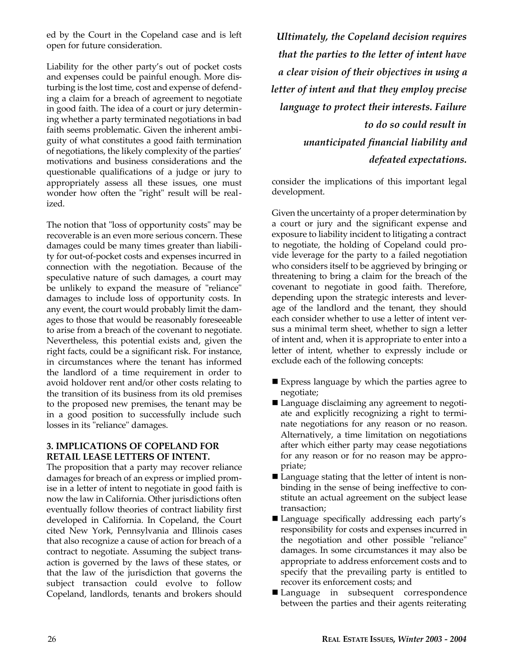ed by the Court in the Copeland case and is left open for future consideration.

Liability for the other party's out of pocket costs and expenses could be painful enough. More disturbing is the lost time, cost and expense of defending a claim for a breach of agreement to negotiate in good faith. The idea of a court or jury determining whether a party terminated negotiations in bad faith seems problematic. Given the inherent ambiguity of what constitutes a good faith termination of negotiations, the likely complexity of the parties' motivations and business considerations and the questionable qualifications of a judge or jury to appropriately assess all these issues, one must wonder how often the "right" result will be realized.

The notion that "loss of opportunity costs" may be recoverable is an even more serious concern. These damages could be many times greater than liability for out-of-pocket costs and expenses incurred in connection with the negotiation. Because of the speculative nature of such damages, a court may be unlikely to expand the measure of "reliance" damages to include loss of opportunity costs. In any event, the court would probably limit the damages to those that would be reasonably foreseeable to arise from a breach of the covenant to negotiate. Nevertheless, this potential exists and, given the right facts, could be a significant risk. For instance, in circumstances where the tenant has informed the landlord of a time requirement in order to avoid holdover rent and/or other costs relating to the transition of its business from its old premises to the proposed new premises, the tenant may be in a good position to successfully include such losses in its "reliance" damages.

#### **3. IMPLICATIONS OF COPELAND FOR RETAIL LEASE LETTERS OF INTENT.**

The proposition that a party may recover reliance damages for breach of an express or implied promise in a letter of intent to negotiate in good faith is now the law in California. Other jurisdictions often eventually follow theories of contract liability first developed in California. In Copeland, the Court cited New York, Pennsylvania and Illinois cases that also recognize a cause of action for breach of a contract to negotiate. Assuming the subject transaction is governed by the laws of these states, or that the law of the jurisdiction that governs the subject transaction could evolve to follow Copeland, landlords, tenants and brokers should

*Ultimately, the Copeland decision requires that the parties to the letter of intent have a clear vision of their objectives in using a letter of intent and that they employ precise language to protect their interests. Failure to do so could result in unanticipated financial liability and defeated expectations.*

consider the implications of this important legal development.

Given the uncertainty of a proper determination by a court or jury and the significant expense and exposure to liability incident to litigating a contract to negotiate, the holding of Copeland could provide leverage for the party to a failed negotiation who considers itself to be aggrieved by bringing or threatening to bring a claim for the breach of the covenant to negotiate in good faith. Therefore, depending upon the strategic interests and leverage of the landlord and the tenant, they should each consider whether to use a letter of intent versus a minimal term sheet, whether to sign a letter of intent and, when it is appropriate to enter into a letter of intent, whether to expressly include or exclude each of the following concepts:

- $\blacksquare$  Express language by which the parties agree to negotiate;
- $\blacksquare$  Language disclaiming any agreement to negotiate and explicitly recognizing a right to terminate negotiations for any reason or no reason. Alternatively, a time limitation on negotiations after which either party may cease negotiations for any reason or for no reason may be appropriate;
- $\blacksquare$  Language stating that the letter of intent is nonbinding in the sense of being ineffective to constitute an actual agreement on the subject lease transaction;
- Language specifically addressing each party's responsibility for costs and expenses incurred in the negotiation and other possible "reliance" damages. In some circumstances it may also be appropriate to address enforcement costs and to specify that the prevailing party is entitled to recover its enforcement costs; and
- Language in subsequent correspondence between the parties and their agents reiterating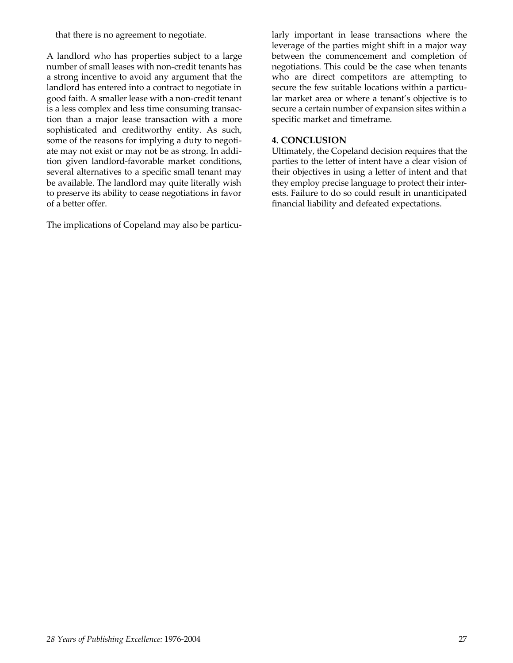that there is no agreement to negotiate.

A landlord who has properties subject to a large number of small leases with non-credit tenants has a strong incentive to avoid any argument that the landlord has entered into a contract to negotiate in good faith. A smaller lease with a non-credit tenant is a less complex and less time consuming transaction than a major lease transaction with a more sophisticated and creditworthy entity. As such, some of the reasons for implying a duty to negotiate may not exist or may not be as strong. In addition given landlord-favorable market conditions, several alternatives to a specific small tenant may be available. The landlord may quite literally wish to preserve its ability to cease negotiations in favor of a better offer.

The implications of Copeland may also be particu-

larly important in lease transactions where the leverage of the parties might shift in a major way between the commencement and completion of negotiations. This could be the case when tenants who are direct competitors are attempting to secure the few suitable locations within a particular market area or where a tenant's objective is to secure a certain number of expansion sites within a specific market and timeframe.

#### **4. CONCLUSION**

Ultimately, the Copeland decision requires that the parties to the letter of intent have a clear vision of their objectives in using a letter of intent and that they employ precise language to protect their interests. Failure to do so could result in unanticipated financial liability and defeated expectations.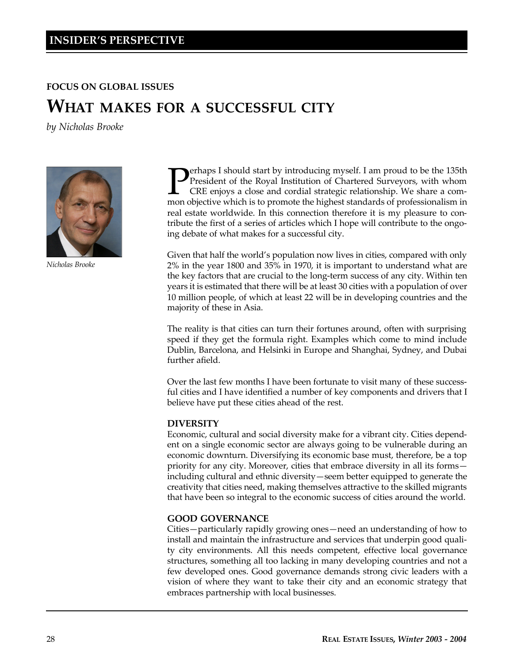#### **FOCUS ON GLOBAL ISSUES**

## **WHAT MAKES FOR A SUCCESSFUL CITY**

*by Nicholas Brooke*



*Nicholas Brooke*

**P**Perhaps I should start by introducing myself. I am proud to be the 135th President of the Royal Institution of Chartered Surveyors, with whom CRE enjoys a close and cordial strategic relationship. We share a common obje erhaps I should start by introducing myself. I am proud to be the 135th President of the Royal Institution of Chartered Surveyors, with whom CRE enjoys a close and cordial strategic relationship. We share a comreal estate worldwide. In this connection therefore it is my pleasure to contribute the first of a series of articles which I hope will contribute to the ongoing debate of what makes for a successful city.

Given that half the world's population now lives in cities, compared with only 2% in the year 1800 and 35% in 1970, it is important to understand what are the key factors that are crucial to the long-term success of any city. Within ten years it is estimated that there will be at least 30 cities with a population of over 10 million people, of which at least 22 will be in developing countries and the majority of these in Asia.

The reality is that cities can turn their fortunes around, often with surprising speed if they get the formula right. Examples which come to mind include Dublin, Barcelona, and Helsinki in Europe and Shanghai, Sydney, and Dubai further afield.

Over the last few months I have been fortunate to visit many of these successful cities and I have identified a number of key components and drivers that I believe have put these cities ahead of the rest.

#### **DIVERSITY**

Economic, cultural and social diversity make for a vibrant city. Cities dependent on a single economic sector are always going to be vulnerable during an economic downturn. Diversifying its economic base must, therefore, be a top priority for any city. Moreover, cities that embrace diversity in all its forms including cultural and ethnic diversity—seem better equipped to generate the creativity that cities need, making themselves attractive to the skilled migrants that have been so integral to the economic success of cities around the world.

#### **GOOD GOVERNANCE**

Cities—particularly rapidly growing ones—need an understanding of how to install and maintain the infrastructure and services that underpin good quality city environments. All this needs competent, effective local governance structures, something all too lacking in many developing countries and not a few developed ones. Good governance demands strong civic leaders with a vision of where they want to take their city and an economic strategy that embraces partnership with local businesses.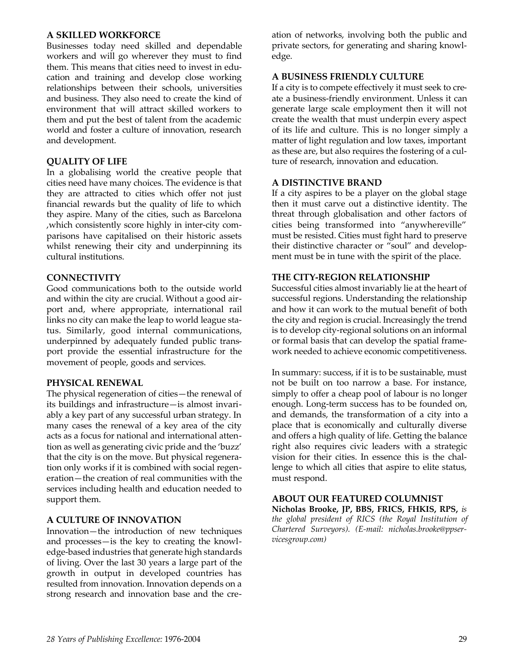#### **A SKILLED WORKFORCE**

Businesses today need skilled and dependable workers and will go wherever they must to find them. This means that cities need to invest in education and training and develop close working relationships between their schools, universities and business. They also need to create the kind of environment that will attract skilled workers to them and put the best of talent from the academic world and foster a culture of innovation, research and development.

#### **QUALITY OF LIFE**

In a globalising world the creative people that cities need have many choices. The evidence is that they are attracted to cities which offer not just financial rewards but the quality of life to which they aspire. Many of the cities, such as Barcelona ,which consistently score highly in inter-city comparisons have capitalised on their historic assets whilst renewing their city and underpinning its cultural institutions.

#### **CONNECTIVITY**

Good communications both to the outside world and within the city are crucial. Without a good airport and, where appropriate, international rail links no city can make the leap to world league status. Similarly, good internal communications, underpinned by adequately funded public transport provide the essential infrastructure for the movement of people, goods and services.

#### **PHYSICAL RENEWAL**

The physical regeneration of cities—the renewal of its buildings and infrastructure—is almost invariably a key part of any successful urban strategy. In many cases the renewal of a key area of the city acts as a focus for national and international attention as well as generating civic pride and the 'buzz' that the city is on the move. But physical regeneration only works if it is combined with social regeneration—the creation of real communities with the services including health and education needed to support them.

#### **A CULTURE OF INNOVATION**

Innovation—the introduction of new techniques and processes—is the key to creating the knowledge-based industries that generate high standards of living. Over the last 30 years a large part of the growth in output in developed countries has resulted from innovation. Innovation depends on a strong research and innovation base and the creation of networks, involving both the public and private sectors, for generating and sharing knowledge.

#### **A BUSINESS FRIENDLY CULTURE**

If a city is to compete effectively it must seek to create a business-friendly environment. Unless it can generate large scale employment then it will not create the wealth that must underpin every aspect of its life and culture. This is no longer simply a matter of light regulation and low taxes, important as these are, but also requires the fostering of a culture of research, innovation and education.

#### **A DISTINCTIVE BRAND**

If a city aspires to be a player on the global stage then it must carve out a distinctive identity. The threat through globalisation and other factors of cities being transformed into "anywhereville" must be resisted. Cities must fight hard to preserve their distinctive character or "soul" and development must be in tune with the spirit of the place.

#### **THE CITY-REGION RELATIONSHIP**

Successful cities almost invariably lie at the heart of successful regions. Understanding the relationship and how it can work to the mutual benefit of both the city and region is crucial. Increasingly the trend is to develop city-regional solutions on an informal or formal basis that can develop the spatial framework needed to achieve economic competitiveness.

In summary: success, if it is to be sustainable, must not be built on too narrow a base. For instance, simply to offer a cheap pool of labour is no longer enough. Long-term success has to be founded on, and demands, the transformation of a city into a place that is economically and culturally diverse and offers a high quality of life. Getting the balance right also requires civic leaders with a strategic vision for their cities. In essence this is the challenge to which all cities that aspire to elite status, must respond.

#### **ABOUT OUR FEATURED COLUMNIST**

**Nicholas Brooke, JP, BBS, FRICS, FHKIS, RPS,** *is the global president of RICS (the Royal Institution of Chartered Surveyors). (E-mail: nicholas.brooke@ppservicesgroup.com)*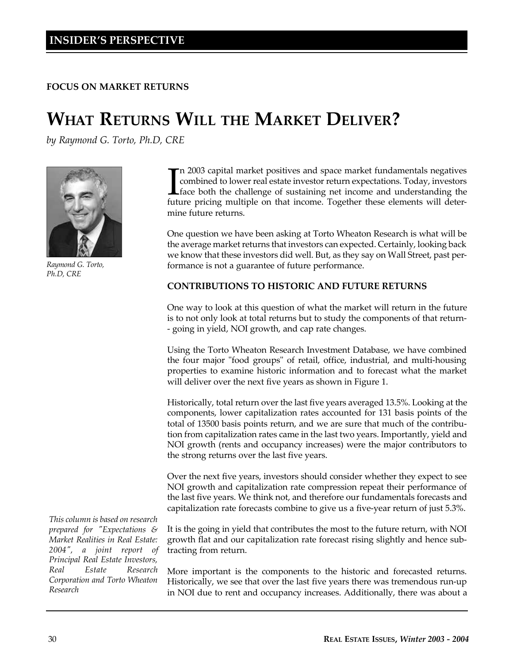**FOCUS ON MARKET RETURNS**

# **WHAT RETURNS WILL THE MARKET DELIVER?**

*by Raymond G. Torto, Ph.D, CRE*



*Raymond G. Torto, Ph.D, CRE*

*This column is based on research prepared for "Expectations & Market Realities in Real Estate: 2004", a joint report of Principal Real Estate Investors, Real Estate Research Corporation and Torto Wheaton Research* 

In 2003 capital market positives and space market fundamentals negatives combined to lower real estate investor return expectations. Today, investors face both the challenge of sustaining net income and understanding the f n 2003 capital market positives and space market fundamentals negatives combined to lower real estate investor return expectations. Today, investors Lface both the challenge of sustaining net income and understanding the mine future returns.

One question we have been asking at Torto Wheaton Research is what will be the average market returns that investors can expected. Certainly, looking back we know that these investors did well. But, as they say on Wall Street, past performance is not a guarantee of future performance.

#### **CONTRIBUTIONS TO HISTORIC AND FUTURE RETURNS**

One way to look at this question of what the market will return in the future is to not only look at total returns but to study the components of that return- - going in yield, NOI growth, and cap rate changes.

Using the Torto Wheaton Research Investment Database, we have combined the four major "food groups" of retail, office, industrial, and multi-housing properties to examine historic information and to forecast what the market will deliver over the next five years as shown in Figure 1.

Historically, total return over the last five years averaged 13.5%. Looking at the components, lower capitalization rates accounted for 131 basis points of the total of 13500 basis points return, and we are sure that much of the contribution from capitalization rates came in the last two years. Importantly, yield and NOI growth (rents and occupancy increases) were the major contributors to the strong returns over the last five years.

Over the next five years, investors should consider whether they expect to see NOI growth and capitalization rate compression repeat their performance of the last five years. We think not, and therefore our fundamentals forecasts and capitalization rate forecasts combine to give us a five-year return of just 5.3%.

It is the going in yield that contributes the most to the future return, with NOI growth flat and our capitalization rate forecast rising slightly and hence subtracting from return.

More important is the components to the historic and forecasted returns. Historically, we see that over the last five years there was tremendous run-up in NOI due to rent and occupancy increases. Additionally, there was about a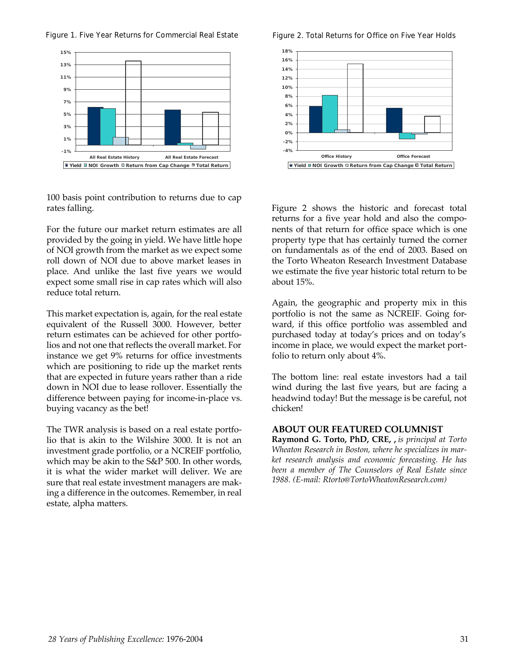Figure 1. Five Year Returns for Commercial Real Estate Figure 2. Total Returns for Office on Five Year Holds



100 basis point contribution to returns due to cap rates falling.

For the future our market return estimates are all provided by the going in yield. We have little hope of NOI growth from the market as we expect some roll down of NOI due to above market leases in place. And unlike the last five years we would expect some small rise in cap rates which will also reduce total return.

This market expectation is, again, for the real estate equivalent of the Russell 3000. However, better return estimates can be achieved for other portfolios and not one that reflects the overall market. For instance we get 9% returns for office investments which are positioning to ride up the market rents that are expected in future years rather than a ride down in NOI due to lease rollover. Essentially the difference between paying for income-in-place vs. buying vacancy as the bet!

The TWR analysis is based on a real estate portfolio that is akin to the Wilshire 3000. It is not an investment grade portfolio, or a NCREIF portfolio, which may be akin to the S&P 500. In other words, it is what the wider market will deliver. We are sure that real estate investment managers are making a difference in the outcomes. Remember, in real estate, alpha matters.



Figure 2 shows the historic and forecast total returns for a five year hold and also the components of that return for office space which is one property type that has certainly turned the corner on fundamentals as of the end of 2003. Based on the Torto Wheaton Research Investment Database we estimate the five year historic total return to be about 15%.

Again, the geographic and property mix in this portfolio is not the same as NCREIF. Going forward, if this office portfolio was assembled and purchased today at today's prices and on today's income in place, we would expect the market portfolio to return only about 4%.

The bottom line: real estate investors had a tail wind during the last five years, but are facing a headwind today! But the message is be careful, not chicken!

#### **ABOUT OUR FEATURED COLUMNIST**

**Raymond G. Torto, PhD, CRE, ,** *is principal at Torto Wheaton Research in Boston, where he specializes in market research analysis and economic forecasting. He has been a member of The Counselors of Real Estate since 1988. (E-mail: Rtorto@TortoWheatonResearch.com)*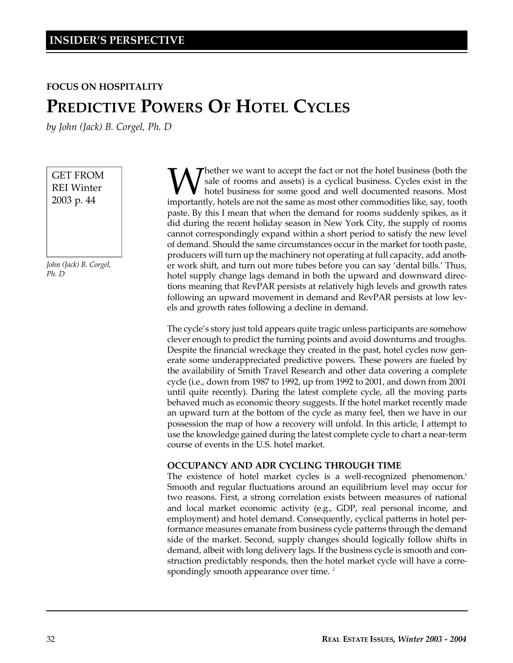#### **FOCUS ON HOSPITALITY**

## **PREDICTIVE POWERS OF HOTEL CYCLES**

*by John (Jack) B. Corgel, Ph. D*

GET FROM REI Winter 2003 p. 44

*John (Jack) B. Corgel, Ph. D*

**W** sale of rooms and assets) is a cyclical business. Cycles exist in the hotel business for some good and well documented reasons. Most importantly, hotels are not the same as most other commodities like, say, tooth Thether we want to accept the fact or not the hotel business (both the sale of rooms and assets) is a cyclical business. Cycles exist in the hotel business for some good and well documented reasons. Most paste. By this I mean that when the demand for rooms suddenly spikes, as it did during the recent holiday season in New York City, the supply of rooms cannot correspondingly expand within a short period to satisfy the new level of demand. Should the same circumstances occur in the market for tooth paste, producers will turn up the machinery not operating at full capacity, add another work shift, and turn out more tubes before you can say 'dental bills.' Thus, hotel supply change lags demand in both the upward and downward directions meaning that RevPAR persists at relatively high levels and growth rates following an upward movement in demand and RevPAR persists at low levels and growth rates following a decline in demand.

The cycle's story just told appears quite tragic unless participants are somehow clever enough to predict the turning points and avoid downturns and troughs. Despite the financial wreckage they created in the past, hotel cycles now generate some underappreciated predictive powers. These powers are fueled by the availability of Smith Travel Research and other data covering a complete cycle (i.e., down from 1987 to 1992, up from 1992 to 2001, and down from 2001 until quite recently). During the latest complete cycle, all the moving parts behaved much as economic theory suggests. If the hotel market recently made an upward turn at the bottom of the cycle as many feel, then we have in our possession the map of how a recovery will unfold. In this article, I attempt to use the knowledge gained during the latest complete cycle to chart a near-term course of events in the U.S. hotel market.

#### **OCCUPANCY AND ADR CYCLING THROUGH TIME**

The existence of hotel market cycles is a well-recognized phenomenon.<sup>1</sup> Smooth and regular fluctuations around an equilibrium level may occur for two reasons. First, a strong correlation exists between measures of national and local market economic activity (e.g., GDP, real personal income, and employment) and hotel demand. Consequently, cyclical patterns in hotel performance measures emanate from business cycle patterns through the demand side of the market. Second, supply changes should logically follow shifts in demand, albeit with long delivery lags. If the business cycle is smooth and construction predictably responds, then the hotel market cycle will have a correspondingly smooth appearance over time.<sup>2</sup>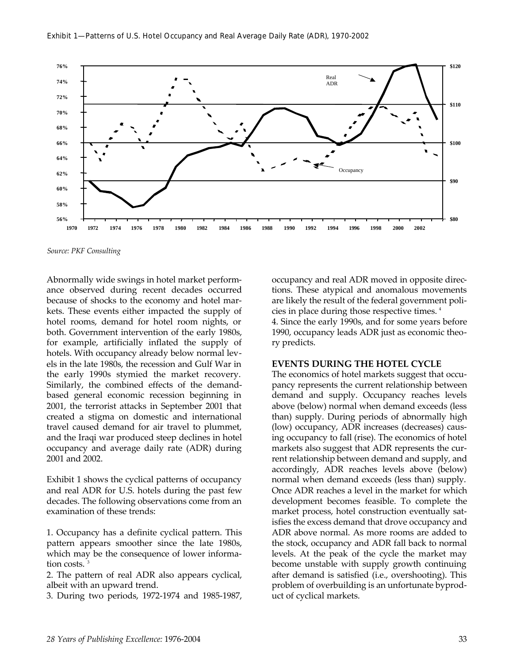

*Source: PKF Consulting*

Abnormally wide swings in hotel market performance observed during recent decades occurred because of shocks to the economy and hotel markets. These events either impacted the supply of hotel rooms, demand for hotel room nights, or both. Government intervention of the early 1980s, for example, artificially inflated the supply of hotels. With occupancy already below normal levels in the late 1980s, the recession and Gulf War in the early 1990s stymied the market recovery. Similarly, the combined effects of the demandbased general economic recession beginning in 2001, the terrorist attacks in September 2001 that created a stigma on domestic and international travel caused demand for air travel to plummet, and the Iraqi war produced steep declines in hotel occupancy and average daily rate (ADR) during 2001 and 2002.

Exhibit 1 shows the cyclical patterns of occupancy and real ADR for U.S. hotels during the past few decades. The following observations come from an examination of these trends:

1. Occupancy has a definite cyclical pattern. This pattern appears smoother since the late 1980s, which may be the consequence of lower information costs. <sup>3</sup>

2. The pattern of real ADR also appears cyclical, albeit with an upward trend.

3. During two periods, 1972-1974 and 1985-1987,

occupancy and real ADR moved in opposite directions. These atypical and anomalous movements are likely the result of the federal government policies in place during those respective times. <sup>4</sup> 4. Since the early 1990s, and for some years before 1990, occupancy leads ADR just as economic theory predicts.

#### **EVENTS DURING THE HOTEL CYCLE**

The economics of hotel markets suggest that occupancy represents the current relationship between demand and supply. Occupancy reaches levels above (below) normal when demand exceeds (less than) supply. During periods of abnormally high (low) occupancy, ADR increases (decreases) causing occupancy to fall (rise). The economics of hotel markets also suggest that ADR represents the current relationship between demand and supply, and accordingly, ADR reaches levels above (below) normal when demand exceeds (less than) supply. Once ADR reaches a level in the market for which development becomes feasible. To complete the market process, hotel construction eventually satisfies the excess demand that drove occupancy and ADR above normal. As more rooms are added to the stock, occupancy and ADR fall back to normal levels. At the peak of the cycle the market may become unstable with supply growth continuing after demand is satisfied (i.e., overshooting). This problem of overbuilding is an unfortunate byproduct of cyclical markets.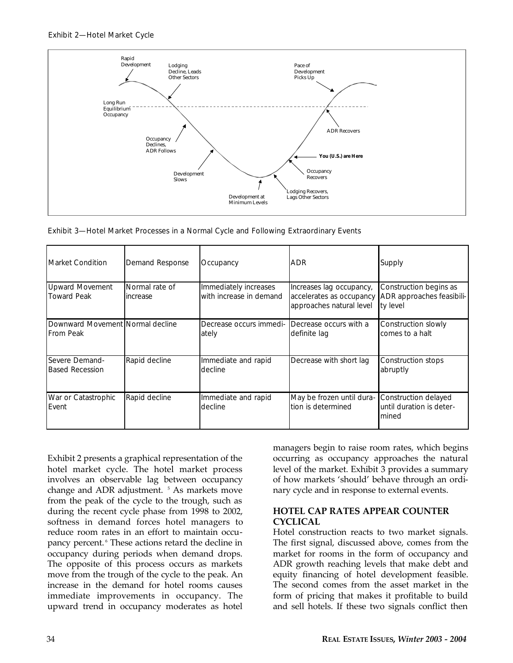#### Exhibit 2—Hotel Market Cycle



Exhibit 3—Hotel Market Processes in a Normal Cycle and Following Extraordinary Events

| <b>Market Condition</b>                              | <b>Demand Response</b>     | Occupancy                                        | <b>ADR</b>                                                                       | Supply                                                          |
|------------------------------------------------------|----------------------------|--------------------------------------------------|----------------------------------------------------------------------------------|-----------------------------------------------------------------|
| <b>Upward Movement</b><br><b>Toward Peak</b>         | Normal rate of<br>increase | Immediately increases<br>with increase in demand | Increases lag occupancy,<br>accelerates as occupancy<br>approaches natural level | Construction begins as<br>ADR approaches feasibili-<br>ty level |
| Downward Movement Normal decline<br><b>From Peak</b> |                            | Decrease occurs immedi-<br>ately                 | Decrease occurs with a<br>definite lag                                           | Construction slowly<br>comes to a halt                          |
| Severe Demand-<br><b>Based Recession</b>             | Rapid decline              | Immediate and rapid<br>decline                   | Decrease with short lag                                                          | Construction stops<br>abruptly                                  |
| War or Catastrophic<br>Event                         | Rapid decline              | Immediate and rapid<br>decline                   | May be frozen until dura-<br>tion is determined                                  | Construction delayed<br>until duration is deter-<br>mined       |

Exhibit 2 presents a graphical representation of the hotel market cycle. The hotel market process involves an observable lag between occupancy change and ADR adjustment.<sup>5</sup> As markets move from the peak of the cycle to the trough, such as during the recent cycle phase from 1998 to 2002, softness in demand forces hotel managers to reduce room rates in an effort to maintain occupancy percent. <sup>6</sup> These actions retard the decline in occupancy during periods when demand drops. The opposite of this process occurs as markets move from the trough of the cycle to the peak. An increase in the demand for hotel rooms causes immediate improvements in occupancy. The upward trend in occupancy moderates as hotel

managers begin to raise room rates, which begins occurring as occupancy approaches the natural level of the market. Exhibit 3 provides a summary of how markets 'should' behave through an ordinary cycle and in response to external events.

#### **HOTEL CAP RATES APPEAR COUNTER CYCLICAL**

Hotel construction reacts to two market signals. The first signal, discussed above, comes from the market for rooms in the form of occupancy and ADR growth reaching levels that make debt and equity financing of hotel development feasible. The second comes from the asset market in the form of pricing that makes it profitable to build and sell hotels. If these two signals conflict then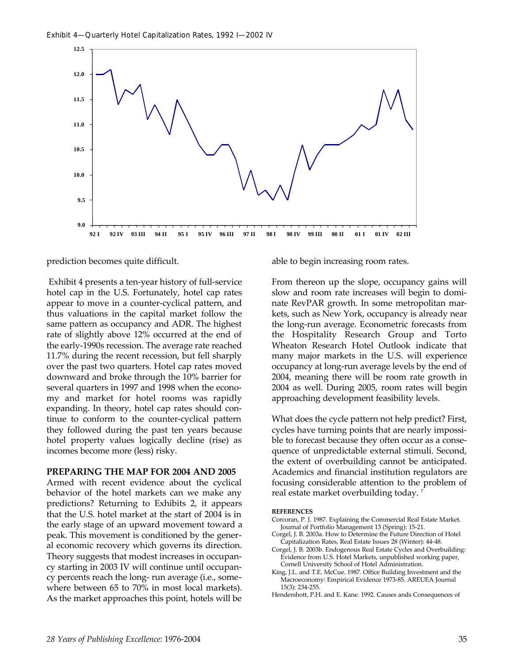

prediction becomes quite difficult.

Exhibit 4 presents a ten-year history of full-service hotel cap in the U.S. Fortunately, hotel cap rates appear to move in a counter-cyclical pattern, and thus valuations in the capital market follow the same pattern as occupancy and ADR. The highest rate of slightly above 12% occurred at the end of the early-1990s recession. The average rate reached 11.7% during the recent recession, but fell sharply over the past two quarters. Hotel cap rates moved downward and broke through the 10% barrier for several quarters in 1997 and 1998 when the economy and market for hotel rooms was rapidly expanding. In theory, hotel cap rates should continue to conform to the counter-cyclical pattern they followed during the past ten years because hotel property values logically decline (rise) as incomes become more (less) risky.

#### **PREPARING THE MAP FOR 2004 AND 2005**

Armed with recent evidence about the cyclical behavior of the hotel markets can we make any predictions? Returning to Exhibits 2, it appears that the U.S. hotel market at the start of 2004 is in the early stage of an upward movement toward a peak. This movement is conditioned by the general economic recovery which governs its direction. Theory suggests that modest increases in occupancy starting in 2003 IV will continue until occupancy percents reach the long- run average (i.e., somewhere between 65 to 70% in most local markets). As the market approaches this point, hotels will be

able to begin increasing room rates.

From thereon up the slope, occupancy gains will slow and room rate increases will begin to dominate RevPAR growth. In some metropolitan markets, such as New York, occupancy is already near the long-run average. Econometric forecasts from the Hospitality Research Group and Torto Wheaton Research Hotel Outlook indicate that many major markets in the U.S. will experience occupancy at long-run average levels by the end of 2004, meaning there will be room rate growth in 2004 as well. During 2005, room rates will begin approaching development feasibility levels.

What does the cycle pattern not help predict? First, cycles have turning points that are nearly impossible to forecast because they often occur as a consequence of unpredictable external stimuli. Second, the extent of overbuilding cannot be anticipated. Academics and financial institution regulators are focusing considerable attention to the problem of real estate market overbuilding today. <sup>7</sup>

#### **REFERENCES**

- Corcoran, P. J. 1987. Explaining the Commercial Real Estate Market. Journal of Portfolio Management 13 (Spring): 15-21.
- Corgel, J. B. 2003a. How to Determine the Future Direction of Hotel Capitalization Rates, Real Estate Issues 28 (Winter): 44-48.
- Corgel, J. B. 2003b. Endogenous Real Estate Cycles and Overbuilding: Evidence from U.S. Hotel Markets, unpublished working paper, Cornell University School of Hotel Administration.
- King, J.L. and T.E. McCue. 1987. Office Building Investment and the Macroeconomy: Empirical Evidence 1973-85. AREUEA Journal 15(3): 234-255.
- Hendershott, P.H. and E. Kane. 1992. Causes ands Consequences of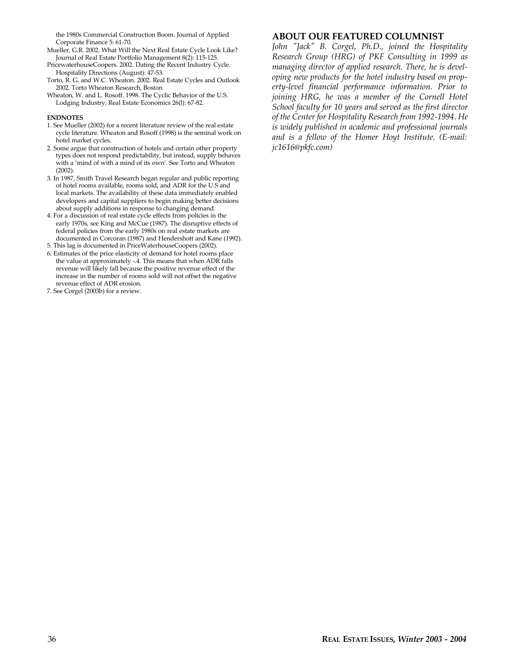the 1980s Commercial Construction Boom. Journal of Applied Corporate Finance 5: 61-70.

Mueller, G.R. 2002. What Will the Next Real Estate Cycle Look Like? Journal of Real Estate Portfolio Management 8(2): 115-125.

PricewaterhouseCoopers. 2002. Dating the Recent Industry Cycle. Hospitality Directions (August): 47-53.

- Torto, R. G. and W.C. Wheaton. 2002. Real Estate Cycles and Outlook 2002. Torto Wheaton Research, Boston
- Wheaton, W. and L. Rosoff. 1998. The Cyclic Behavior of the U.S. Lodging Industry. Real Estate Economics 26(l): 67-82.

#### **ENDNOTES**

- 1. See Mueller (2002) for a recent literature review of the real estate cycle literature. Wheaton and Rosoff (1998) is the seminal work on hotel market cycles.
- 2. Some argue that construction of hotels and certain other property types does not respond predictability, but instead, supply behaves with a 'mind of with a mind of its own'. See Torto and Wheaton (2002).
- 3. In 1987, Smith Travel Research began regular and public reporting of hotel rooms available, rooms sold, and ADR for the U.S and local markets. The availability of these data immediately enabled developers and capital suppliers to begin making better decisions about supply additions in response to changing demand.
- 4. For a discussion of real estate cycle effects from policies in the early 1970s, see King and McCue (1987). The disruptive effects of federal policies from the early 1980s on real estate markets are documented in Corcoran (1987) and Hendershott and Kane (1992).
- 5. This lag is documented in PriceWaterhouseCoopers (2002).
- 6. Estimates of the price elasticity of demand for hotel rooms place the value at approximately -.4. This means that when ADR falls revenue will likely fall because the positive revenue effect of the increase in the number of rooms sold will not offset the negative revenue effect of ADR erosion.
- 7. See Corgel (2003b) for a review.

#### **ABOUT OUR FEATURED COLUMNIST**

*John "Jack" B. Corgel, Ph.D., joined the Hospitality Research Group (HRG) of PKF Consulting in 1999 as managing director of applied research. There, he is developing new products for the hotel industry based on property-level financial performance information. Prior to joining HRG, he was a member of the Cornell Hotel School faculty for 10 years and served as the first director of the Center for Hospitality Research from 1992-1994. He is widely published in academic and professional journals and is a fellow of the Homer Hoyt Institute. (E-mail: jc1616@pkfc.com)*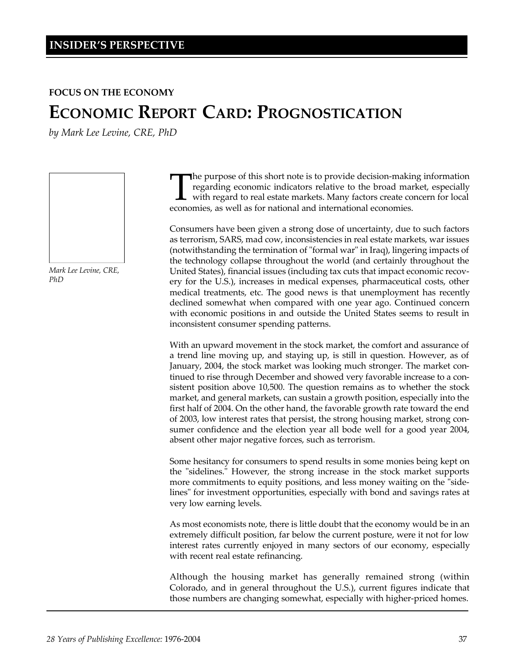#### **FOCUS ON THE ECONOMY**

# **ECONOMIC REPORT CARD: PROGNOSTICATION**

*by Mark Lee Levine, CRE, PhD*



*Mark Lee Levine, CRE, PhD*

The purpose of this short note is to provide decision-making regarding economic indicators relative to the broad man with regard to real estate markets. Many factors create conomies, as well as for national and internation he purpose of this short note is to provide decision-making information regarding economic indicators relative to the broad market, especially with regard to real estate markets. Many factors create concern for local

Consumers have been given a strong dose of uncertainty, due to such factors as terrorism, SARS, mad cow, inconsistencies in real estate markets, war issues (notwithstanding the termination of "formal war" in Iraq), lingering impacts of the technology collapse throughout the world (and certainly throughout the United States), financial issues (including tax cuts that impact economic recovery for the U.S.), increases in medical expenses, pharmaceutical costs, other medical treatments, etc. The good news is that unemployment has recently declined somewhat when compared with one year ago. Continued concern with economic positions in and outside the United States seems to result in inconsistent consumer spending patterns.

With an upward movement in the stock market, the comfort and assurance of a trend line moving up, and staying up, is still in question. However, as of January, 2004, the stock market was looking much stronger. The market continued to rise through December and showed very favorable increase to a consistent position above 10,500. The question remains as to whether the stock market, and general markets, can sustain a growth position, especially into the first half of 2004. On the other hand, the favorable growth rate toward the end of 2003, low interest rates that persist, the strong housing market, strong consumer confidence and the election year all bode well for a good year 2004, absent other major negative forces, such as terrorism.

Some hesitancy for consumers to spend results in some monies being kept on the "sidelines." However, the strong increase in the stock market supports more commitments to equity positions, and less money waiting on the "sidelines" for investment opportunities, especially with bond and savings rates at very low earning levels.

As most economists note, there is little doubt that the economy would be in an extremely difficult position, far below the current posture, were it not for low interest rates currently enjoyed in many sectors of our economy, especially with recent real estate refinancing.

Although the housing market has generally remained strong (within Colorado, and in general throughout the U.S.), current figures indicate that those numbers are changing somewhat, especially with higher-priced homes.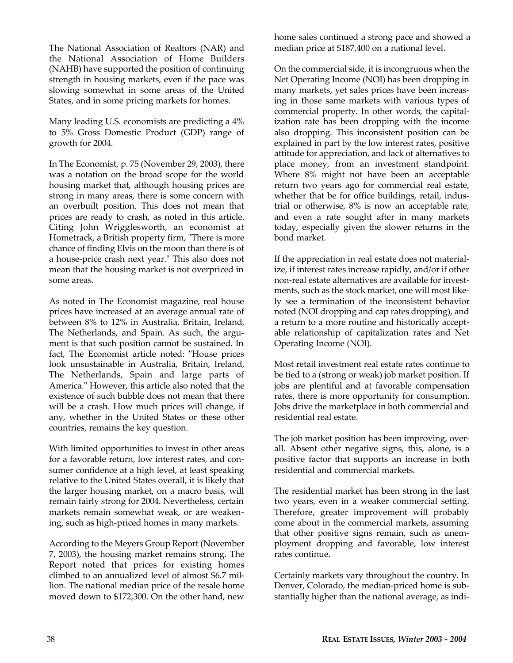The National Association of Realtors (NAR) and the National Association of Home Builders (NAHB) have supported the position of continuing strength in housing markets, even if the pace was slowing somewhat in some areas of the United States, and in some pricing markets for homes.

Many leading U.S. economists are predicting a 4% to 5% Gross Domestic Product (GDP) range of growth for 2004.

In The Economist, p. 75 (November 29, 2003), there was a notation on the broad scope for the world housing market that, although housing prices are strong in many areas, there is some concern with an overbuilt position. This does not mean that prices are ready to crash, as noted in this article. Citing John Wrigglesworth, an economist at Hometrack, a British property firm, "There is more chance of finding Elvis on the moon than there is of a house-price crash next year." This also does not mean that the housing market is not overpriced in some areas.

As noted in The Economist magazine, real house prices have increased at an average annual rate of between 8% to 12% in Australia, Britain, Ireland, The Netherlands, and Spain. As such, the argument is that such position cannot be sustained. In fact, The Economist article noted: "House prices look unsustainable in Australia, Britain, Ireland, The Netherlands, Spain and large parts of America." However, this article also noted that the existence of such bubble does not mean that there will be a crash. How much prices will change, if any, whether in the United States or these other countries, remains the key question.

With limited opportunities to invest in other areas for a favorable return, low interest rates, and consumer confidence at a high level, at least speaking relative to the United States overall, it is likely that the larger housing market, on a macro basis, will remain fairly strong for 2004. Nevertheless, certain markets remain somewhat weak, or are weakening, such as high-priced homes in many markets.

According to the Meyers Group Report (November 7, 2003), the housing market remains strong. The Report noted that prices for existing homes climbed to an annualized level of almost \$6.7 million. The national median price of the resale home moved down to \$172,300. On the other hand, new

home sales continued a strong pace and showed a median price at \$187,400 on a national level.

On the commercial side, it is incongruous when the Net Operating Income (NOI) has been dropping in many markets, yet sales prices have been increasing in those same markets with various types of commercial property. In other words, the capitalization rate has been dropping with the income also dropping. This inconsistent position can be explained in part by the low interest rates, positive attitude for appreciation, and lack of alternatives to place money, from an investment standpoint. Where 8% might not have been an acceptable return two years ago for commercial real estate, whether that be for office buildings, retail, industrial or otherwise, 8% is now an acceptable rate, and even a rate sought after in many markets today, especially given the slower returns in the bond market.

If the appreciation in real estate does not materialize, if interest rates increase rapidly, and/or if other non-real estate alternatives are available for investments, such as the stock market, one will most likely see a termination of the inconsistent behavior noted (NOI dropping and cap rates dropping), and a return to a more routine and historically acceptable relationship of capitalization rates and Net Operating Income (NOI).

Most retail investment real estate rates continue to be tied to a (strong or weak) job market position. If jobs are plentiful and at favorable compensation rates, there is more opportunity for consumption. Jobs drive the marketplace in both commercial and residential real estate.

The job market position has been improving, overall. Absent other negative signs, this, alone, is a positive factor that supports an increase in both residential and commercial markets.

The residential market has been strong in the last two years, even in a weaker commercial setting. Therefore, greater improvement will probably come about in the commercial markets, assuming that other positive signs remain, such as unemployment dropping and favorable, low interest rates continue.

Certainly markets vary throughout the country. In Denver, Colorado, the median-priced home is substantially higher than the national average, as indi-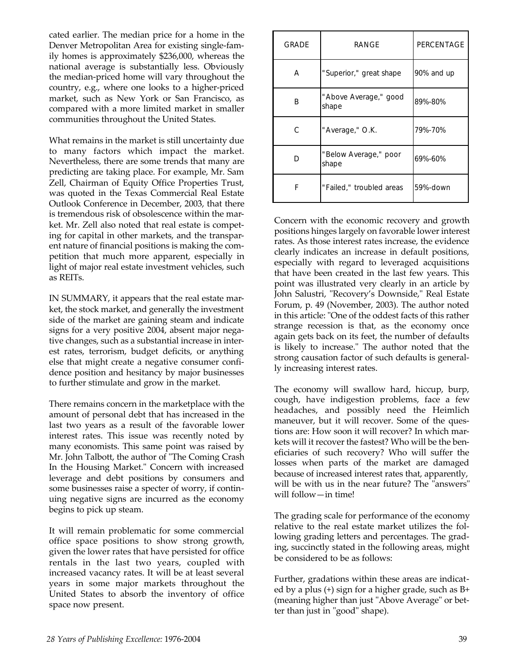cated earlier. The median price for a home in the Denver Metropolitan Area for existing single-family homes is approximately \$236,000, whereas the national average is substantially less. Obviously the median-priced home will vary throughout the country, e.g., where one looks to a higher-priced market, such as New York or San Francisco, as compared with a more limited market in smaller communities throughout the United States.

What remains in the market is still uncertainty due to many factors which impact the market. Nevertheless, there are some trends that many are predicting are taking place. For example, Mr. Sam Zell, Chairman of Equity Office Properties Trust, was quoted in the Texas Commercial Real Estate Outlook Conference in December, 2003, that there is tremendous risk of obsolescence within the market. Mr. Zell also noted that real estate is competing for capital in other markets, and the transparent nature of financial positions is making the competition that much more apparent, especially in light of major real estate investment vehicles, such as REITs.

IN SUMMARY, it appears that the real estate market, the stock market, and generally the investment side of the market are gaining steam and indicate signs for a very positive 2004, absent major negative changes, such as a substantial increase in interest rates, terrorism, budget deficits, or anything else that might create a negative consumer confidence position and hesitancy by major businesses to further stimulate and grow in the market.

There remains concern in the marketplace with the amount of personal debt that has increased in the last two years as a result of the favorable lower interest rates. This issue was recently noted by many economists. This same point was raised by Mr. John Talbott, the author of "The Coming Crash In the Housing Market." Concern with increased leverage and debt positions by consumers and some businesses raise a specter of worry, if continuing negative signs are incurred as the economy begins to pick up steam.

It will remain problematic for some commercial office space positions to show strong growth, given the lower rates that have persisted for office rentals in the last two years, coupled with increased vacancy rates. It will be at least several years in some major markets throughout the United States to absorb the inventory of office space now present.

| <b>GRADE</b> | <b>RANGF</b>                   | <b>PERCENTAGE</b> |  |
|--------------|--------------------------------|-------------------|--|
| A            | "Superior," great shape        | 90% and up        |  |
| в            | "Above Average," good<br>shape | 89%-80%           |  |
| С            | "Average," O.K.                | 79%-70%           |  |
| n            | "Below Average," poor<br>shape |                   |  |
| F            | "Failed," troubled areas       |                   |  |

Concern with the economic recovery and growth positions hinges largely on favorable lower interest rates. As those interest rates increase, the evidence clearly indicates an increase in default positions, especially with regard to leveraged acquisitions that have been created in the last few years. This point was illustrated very clearly in an article by John Salustri, "Recovery's Downside," Real Estate Forum, p. 49 (November, 2003). The author noted in this article: "One of the oddest facts of this rather strange recession is that, as the economy once again gets back on its feet, the number of defaults is likely to increase." The author noted that the strong causation factor of such defaults is generally increasing interest rates.

The economy will swallow hard, hiccup, burp, cough, have indigestion problems, face a few headaches, and possibly need the Heimlich maneuver, but it will recover. Some of the questions are: How soon it will recover? In which markets will it recover the fastest? Who will be the beneficiaries of such recovery? Who will suffer the losses when parts of the market are damaged because of increased interest rates that, apparently, will be with us in the near future? The "answers" will follow—in time!

The grading scale for performance of the economy relative to the real estate market utilizes the following grading letters and percentages. The grading, succinctly stated in the following areas, might be considered to be as follows:

Further, gradations within these areas are indicated by a plus (+) sign for a higher grade, such as B+ (meaning higher than just "Above Average" or better than just in "good" shape).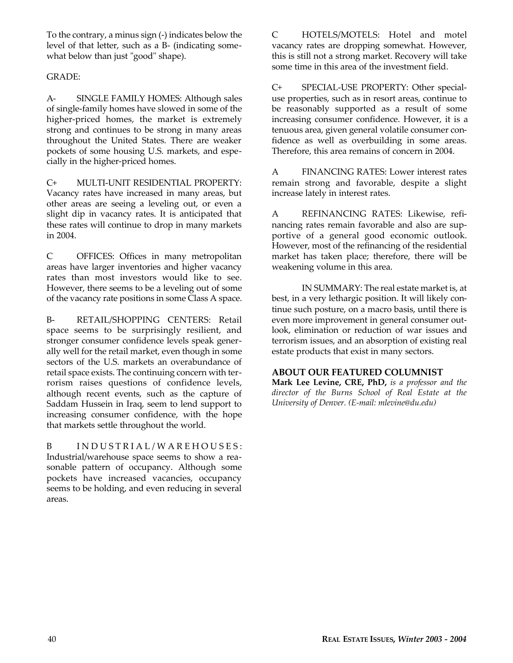To the contrary, a minus sign (-) indicates below the level of that letter, such as a B- (indicating somewhat below than just "good" shape).

#### GRADE:

A- SINGLE FAMILY HOMES: Although sales of single-family homes have slowed in some of the higher-priced homes, the market is extremely strong and continues to be strong in many areas throughout the United States. There are weaker pockets of some housing U.S. markets, and especially in the higher-priced homes.

C+ MULTI-UNIT RESIDENTIAL PROPERTY: Vacancy rates have increased in many areas, but other areas are seeing a leveling out, or even a slight dip in vacancy rates. It is anticipated that these rates will continue to drop in many markets in 2004.

C OFFICES: Offices in many metropolitan areas have larger inventories and higher vacancy rates than most investors would like to see. However, there seems to be a leveling out of some of the vacancy rate positions in some Class A space.

B- RETAIL/SHOPPING CENTERS: Retail space seems to be surprisingly resilient, and stronger consumer confidence levels speak generally well for the retail market, even though in some sectors of the U.S. markets an overabundance of retail space exists. The continuing concern with terrorism raises questions of confidence levels, although recent events, such as the capture of Saddam Hussein in Iraq, seem to lend support to increasing consumer confidence, with the hope that markets settle throughout the world.

B INDUSTRIAL/WAREHOUSES: Industrial/warehouse space seems to show a reasonable pattern of occupancy. Although some pockets have increased vacancies, occupancy seems to be holding, and even reducing in several areas.

C HOTELS/MOTELS: Hotel and motel vacancy rates are dropping somewhat. However, this is still not a strong market. Recovery will take some time in this area of the investment field.

C+ SPECIAL-USE PROPERTY: Other specialuse properties, such as in resort areas, continue to be reasonably supported as a result of some increasing consumer confidence. However, it is a tenuous area, given general volatile consumer confidence as well as overbuilding in some areas. Therefore, this area remains of concern in 2004.

A FINANCING RATES: Lower interest rates remain strong and favorable, despite a slight increase lately in interest rates.

A REFINANCING RATES: Likewise, refinancing rates remain favorable and also are supportive of a general good economic outlook. However, most of the refinancing of the residential market has taken place; therefore, there will be weakening volume in this area.

IN SUMMARY: The real estate market is, at best, in a very lethargic position. It will likely continue such posture, on a macro basis, until there is even more improvement in general consumer outlook, elimination or reduction of war issues and terrorism issues, and an absorption of existing real estate products that exist in many sectors.

#### **ABOUT OUR FEATURED COLUMNIST**

**Mark Lee Levine, CRE, PhD,** *is a professor and the director of the Burns School of Real Estate at the University of Denver. (E-mail: mlevine@du.edu)*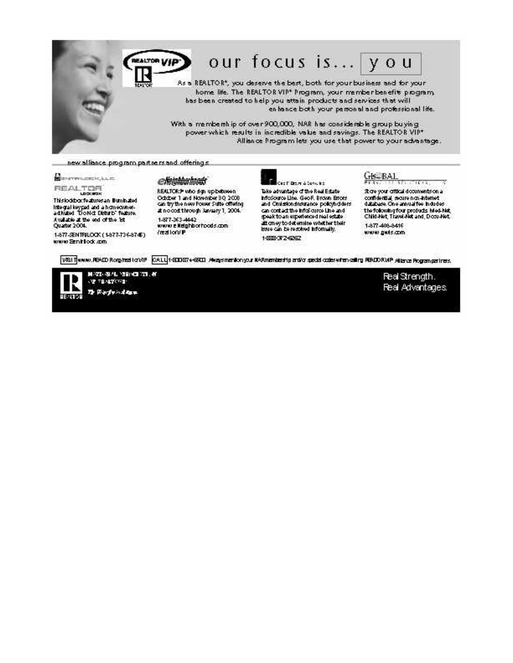

## our focus is... you

As a REALTOR\*, you deserve the best, both for your business and for your home life. The REALTOR VIP\* Program, your member benefits program, has been created to help you attain products and services that will en hance both your personal and professional life.

With a membership of over 900,000, NAR has considerable group buying power which results in incredible value and savings. The REALTOR VIP\* Alliance Program lets you use that power to your advantage.

new alliance program partners and offerings:

### dingrature k, LLC

REALTOR

This lockbox features an Eurohabet Integral keypad and a homeowner-<br>activated "Do Not Disturb" feature. Available at the end of the list Quarter 2004.

1-877-SENTRILOOK (1877-736-8745) www.Seniflock.com

#### elemmannas

REALTORS who dign up between October 1 and November 30, 2008<br>can try the new Fower Suite offering #nocod through January 1, 2004. 1-877-363-4442 www.elleighborhoods.com /realion/P

## and T. Drawn & Services

Take advantage of the Real Estate InfoSource Line, Geo F. Brown Errors and Omission show a policyholders<br>and Omission showance policyholders speak to an experience direal estate attorney to determine whether their issue can be resolved informally. 1-559-312-6262

### GE-BAL

Store your official documents on a confidential, secure non-internet<br>database. One annual fee indudes : the following four products Med-Net<br>Child-Net, Travel-Net and, Docu-Net 1-877-408-8416

 $16.13$ 

X,

www.guts.com

[018] Twww.READ Rommaston/P [CALL]1-200874-2200 Awaysmentonyour KARmenteed to acted codeswiten calling READ RMP At land Pogram perfect.



MASS (SAL 189) 43 TH. 60 **OF TENETORS:** To Party Adam

Real Strength. Real Advantages.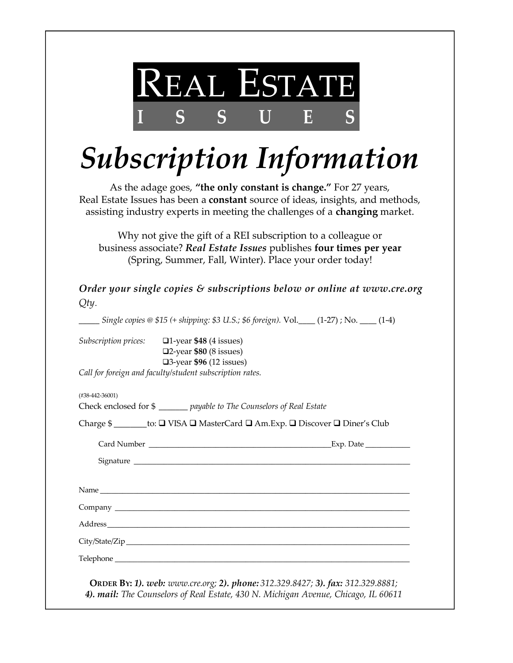

# *Subscription Information*

As the adage goes, **"the only constant is change."** For 27 years, Real Estate Issues has been a **constant** source of ideas, insights, and methods, assisting industry experts in meeting the challenges of a **changing** market.

Why not give the gift of a REI subscription to a colleague or business associate? *Real Estate Issues* publishes **four times per year** (Spring, Summer, Fall, Winter). Place your order today!

*Qty*. *Order your single copies & subscriptions below or online at www.cre.org*

\_\_\_\_\_ *Single copies @ \$15 (+ shipping: \$3 U.S.; \$6 foreign).* Vol.\_\_\_\_ (1-27) ; No. \_\_\_\_ (1-4)

*Subscription prices:* q1-year **\$48** (4 issues) q2-year **\$80** (8 issues) q3-year **\$96** (12 issues)

*Call for foreign and faculty/student subscription rates.*

(#38-442-36001)

Check enclosed for \$ \_\_\_\_\_\_\_ *payable to The Counselors of Real Estate*

Charge \$ \_\_\_\_\_\_\_\_to:  $\Box$  VISA  $\Box$  MasterCard  $\Box$  Am.Exp.  $\Box$  Discover  $\Box$  Diner's Club

Card Number \_\_\_\_\_\_\_\_\_\_\_\_\_\_\_\_\_\_\_\_\_\_\_\_\_\_\_\_\_\_\_\_\_\_\_\_\_\_\_\_\_\_\_\_\_\_\_\_\_Exp. Date \_\_\_\_\_\_\_\_\_\_\_\_ Signature \_\_\_\_\_\_\_\_\_\_\_\_\_\_\_\_\_\_\_\_\_\_\_\_\_\_\_\_\_\_\_\_\_\_\_\_\_\_\_\_\_\_\_\_\_\_\_\_\_\_\_\_\_\_\_\_\_\_\_\_\_\_\_\_\_\_\_\_\_\_\_\_\_\_

Name  $\Box$ 

Address\_\_\_\_\_\_\_\_\_\_\_\_\_\_\_\_\_\_\_\_\_\_\_\_\_\_\_\_\_\_\_\_\_\_\_\_\_\_\_\_\_\_\_\_\_\_\_\_\_\_\_\_\_\_\_\_\_\_\_\_\_\_\_\_\_\_\_\_\_\_\_\_\_\_\_\_\_\_\_\_\_

Company \_\_\_\_\_\_\_\_\_\_\_\_\_\_\_\_\_\_\_\_\_\_\_\_\_\_\_\_\_\_\_\_\_\_\_\_\_\_\_\_\_\_\_\_\_\_\_\_\_\_\_\_\_\_\_\_\_\_\_\_\_\_\_\_\_\_\_\_\_\_\_\_\_\_\_\_\_\_\_

City/State/Zip\_\_\_\_\_\_\_\_\_\_\_\_\_\_\_\_\_\_\_\_\_\_\_\_\_\_\_\_\_\_\_\_\_\_\_\_\_\_\_\_\_\_\_\_\_\_\_\_\_\_\_\_\_\_\_\_\_\_\_\_\_\_\_\_\_\_\_\_\_\_\_\_\_\_\_\_

Telephone  $\Box$ 

**ORDER BY:** *1). web: www.cre.org; 2). phone: 312.329.8427; 3). fax: 312.329.8881; 4). mail: The Counselors of Real Estate, 430 N. Michigan Avenue, Chicago, IL 60611*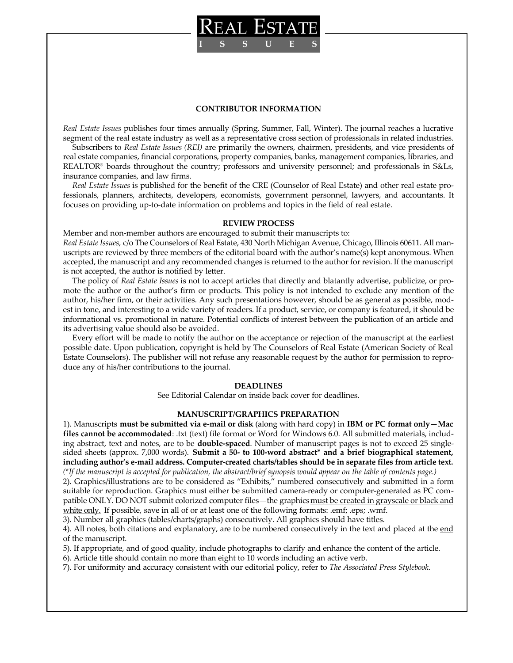

#### **CONTRIBUTOR INFORMATION**

*Real Estate Issues* publishes four times annually (Spring, Summer, Fall, Winter). The journal reaches a lucrative segment of the real estate industry as well as a representative cross section of professionals in related industries.

Subscribers to *Real Estate Issues (REI)* are primarily the owners, chairmen, presidents, and vice presidents of real estate companies, financial corporations, property companies, banks, management companies, libraries, and REALTOR® boards throughout the country; professors and university personnel; and professionals in S&Ls, insurance companies, and law firms.

*Real Estate Issues* is published for the benefit of the CRE (Counselor of Real Estate) and other real estate professionals, planners, architects, developers, economists, government personnel, lawyers, and accountants. It focuses on providing up-to-date information on problems and topics in the field of real estate.

#### **REVIEW PROCESS**

Member and non-member authors are encouraged to submit their manuscripts to: *Real Estate Issues,* c/o The Counselors of Real Estate, 430 North Michigan Avenue, Chicago, Illinois 60611. All manuscripts are reviewed by three members of the editorial board with the author's name(s) kept anonymous. When accepted, the manuscript and any recommended changes is returned to the author for revision. If the manuscript is not accepted, the author is notified by letter.

The policy of *Real Estate Issues* is not to accept articles that directly and blatantly advertise, publicize, or promote the author or the author's firm or products. This policy is not intended to exclude any mention of the author, his/her firm, or their activities. Any such presentations however, should be as general as possible, modest in tone, and interesting to a wide variety of readers. If a product, service, or company is featured, it should be informational vs. promotional in nature. Potential conflicts of interest between the publication of an article and its advertising value should also be avoided.

Every effort will be made to notify the author on the acceptance or rejection of the manuscript at the earliest possible date. Upon publication, copyright is held by The Counselors of Real Estate (American Society of Real Estate Counselors). The publisher will not refuse any reasonable request by the author for permission to reproduce any of his/her contributions to the journal.

#### **DEADLINES**

See Editorial Calendar on inside back cover for deadlines.

#### **MANUSCRIPT/GRAPHICS PREPARATION**

1). Manuscripts **must be submitted via e-mail or disk** (along with hard copy) in **IBM or PC format only—Mac files cannot be accommodated**: .txt (text) file format or Word for Windows 6.0. All submitted materials, including abstract, text and notes, are to be **double-spaced**. Number of manuscript pages is not to exceed 25 singlesided sheets (approx. 7,000 words). **Submit a 50- to 100-word abstract\* and a brief biographical statement, including author's e-mail address. Computer-created charts/tables should be in separate files from article text.** *(\*If the manuscript is accepted for publication, the abstract/brief synopsis would appear on the table of contents page.)* 

2). Graphics/illustrations are to be considered as "Exhibits," numbered consecutively and submitted in a form suitable for reproduction. Graphics must either be submitted camera-ready or computer-generated as PC compatible ONLY. DO NOT submit colorized computer files—the graphics must be created in grayscale or black and white only. If possible, save in all of or at least one of the following formats: .emf; .eps; .wmf.

3). Number all graphics (tables/charts/graphs) consecutively. All graphics should have titles.

4). All notes, both citations and explanatory, are to be numbered consecutively in the text and placed at the end of the manuscript.

5). If appropriate, and of good quality, include photographs to clarify and enhance the content of the article.

6). Article title should contain no more than eight to 10 words including an active verb.

7). For uniformity and accuracy consistent with our editorial policy, refer to *The Associated Press Stylebook.*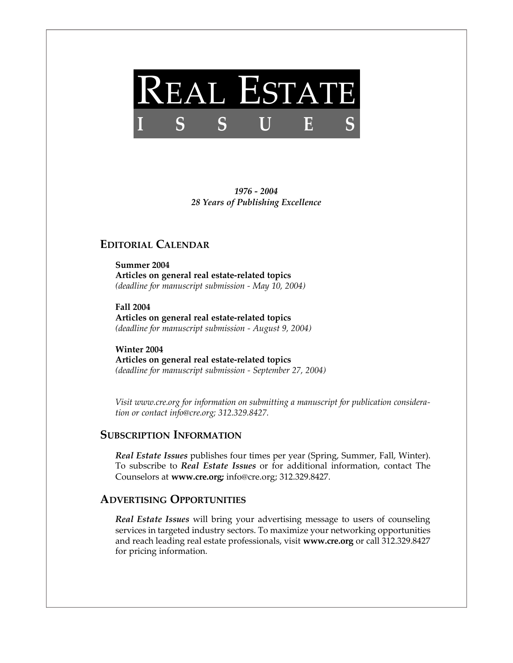

*1976 - 2004 28 Years of Publishing Excellence*

### **EDITORIAL CALENDAR**

**Summer 2004 Articles on general real estate-related topics** *(deadline for manuscript submission - May 10, 2004)*

**Fall 2004 Articles on general real estate-related topics** *(deadline for manuscript submission - August 9, 2004)*

**Winter 2004 Articles on general real estate-related topics** *(deadline for manuscript submission - September 27, 2004)*

*Visit www.cre.org for information on submitting a manuscript for publication consideration or contact info@cre.org; 312.329.8427.*

#### **SUBSCRIPTION INFORMATION**

*Real Estate Issues* publishes four times per year (Spring, Summer, Fall, Winter). To subscribe to *Real Estate Issues* or for additional information, contact The Counselors at **www.cre.org;** info@cre.org; 312.329.8427.

#### **ADVERTISING OPPORTUNITIES**

*Real Estate Issues* will bring your advertising message to users of counseling services in targeted industry sectors. To maximize your networking opportunities and reach leading real estate professionals, visit **www.cre.org** or call 312.329.8427 for pricing information.